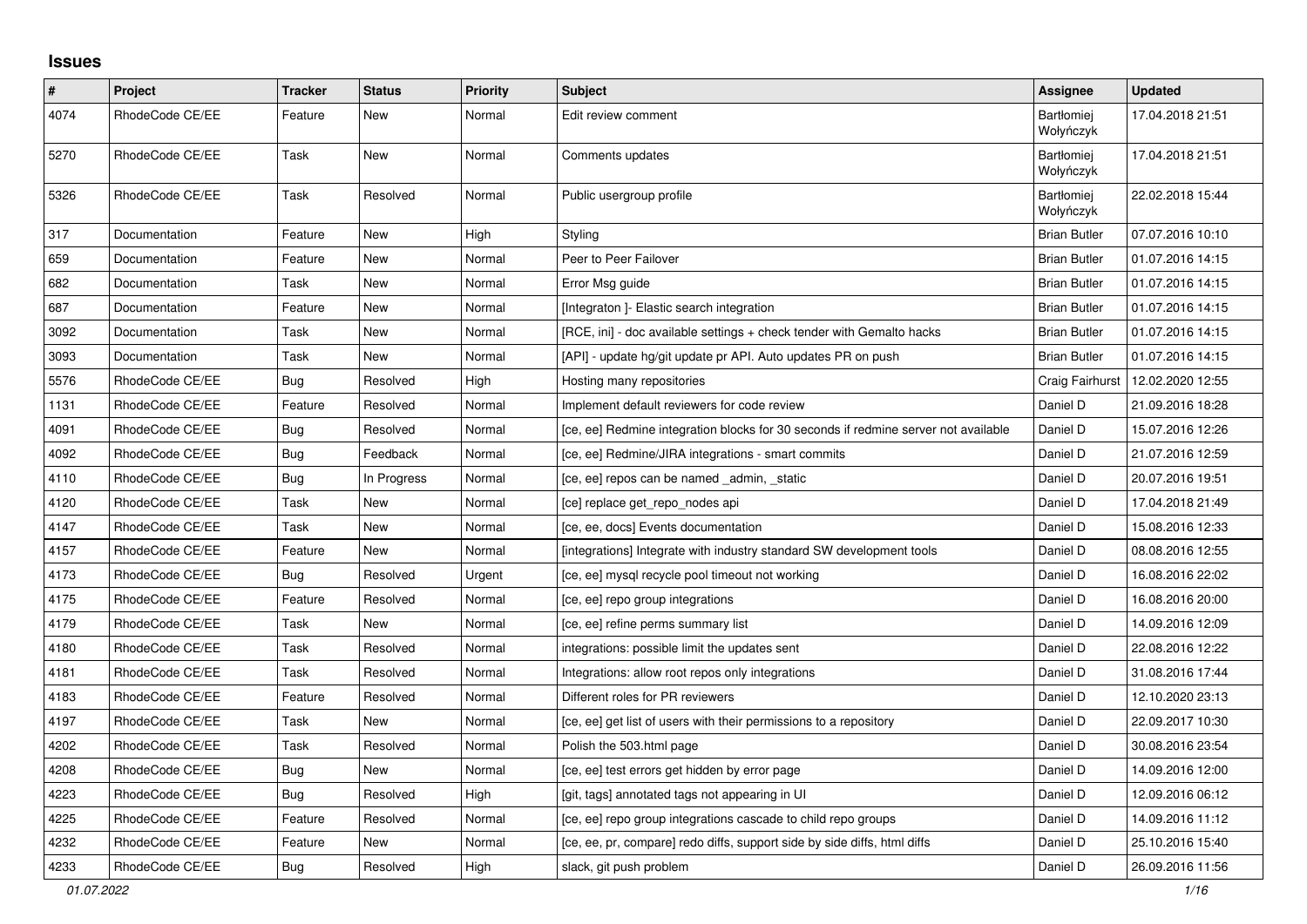## **Issues**

| $\#$ | Project         | <b>Tracker</b> | <b>Status</b> | <b>Priority</b> | <b>Subject</b>                                                                     | Assignee                       | <b>Updated</b>   |
|------|-----------------|----------------|---------------|-----------------|------------------------------------------------------------------------------------|--------------------------------|------------------|
| 4074 | RhodeCode CE/EE | Feature        | New           | Normal          | Edit review comment                                                                | <b>Bartłomiej</b><br>Wołyńczyk | 17.04.2018 21:51 |
| 5270 | RhodeCode CE/EE | Task           | New           | Normal          | Comments updates                                                                   | <b>Bartłomiej</b><br>Wołyńczyk | 17.04.2018 21:51 |
| 5326 | RhodeCode CE/EE | Task           | Resolved      | Normal          | Public usergroup profile                                                           | Bartłomiej<br>Wołyńczyk        | 22.02.2018 15:44 |
| 317  | Documentation   | Feature        | New           | High            | Styling                                                                            | <b>Brian Butler</b>            | 07.07.2016 10:10 |
| 659  | Documentation   | Feature        | New           | Normal          | Peer to Peer Failover                                                              | <b>Brian Butler</b>            | 01.07.2016 14:15 |
| 682  | Documentation   | Task           | New           | Normal          | Error Msg guide                                                                    | <b>Brian Butler</b>            | 01.07.2016 14:15 |
| 687  | Documentation   | Feature        | New           | Normal          | [Integraton ]- Elastic search integration                                          | <b>Brian Butler</b>            | 01.07.2016 14:15 |
| 3092 | Documentation   | Task           | New           | Normal          | [RCE, ini] - doc available settings + check tender with Gemalto hacks              | <b>Brian Butler</b>            | 01.07.2016 14:15 |
| 3093 | Documentation   | Task           | New           | Normal          | [API] - update hg/git update pr API. Auto updates PR on push                       | <b>Brian Butler</b>            | 01.07.2016 14:15 |
| 5576 | RhodeCode CE/EE | Bug            | Resolved      | High            | Hosting many repositories                                                          | Craig Fairhurst                | 12.02.2020 12:55 |
| 1131 | RhodeCode CE/EE | Feature        | Resolved      | Normal          | Implement default reviewers for code review                                        | Daniel D                       | 21.09.2016 18:28 |
| 4091 | RhodeCode CE/EE | <b>Bug</b>     | Resolved      | Normal          | [ce, ee] Redmine integration blocks for 30 seconds if redmine server not available | Daniel D                       | 15.07.2016 12:26 |
| 4092 | RhodeCode CE/EE | <b>Bug</b>     | Feedback      | Normal          | [ce, ee] Redmine/JIRA integrations - smart commits                                 | Daniel D                       | 21.07.2016 12:59 |
| 4110 | RhodeCode CE/EE | Bug            | In Progress   | Normal          | [ce, ee] repos can be named admin, static                                          | Daniel D                       | 20.07.2016 19:51 |
| 4120 | RhodeCode CE/EE | Task           | <b>New</b>    | Normal          | [ce] replace get_repo_nodes api                                                    | Daniel D                       | 17.04.2018 21:49 |
| 4147 | RhodeCode CE/EE | Task           | New           | Normal          | [ce, ee, docs] Events documentation                                                | Daniel D                       | 15.08.2016 12:33 |
| 4157 | RhodeCode CE/EE | Feature        | New           | Normal          | [integrations] Integrate with industry standard SW development tools               | Daniel D                       | 08.08.2016 12:55 |
| 4173 | RhodeCode CE/EE | <b>Bug</b>     | Resolved      | Urgent          | [ce, ee] mysql recycle pool timeout not working                                    | Daniel D                       | 16.08.2016 22:02 |
| 4175 | RhodeCode CE/EE | Feature        | Resolved      | Normal          | [ce, ee] repo group integrations                                                   | Daniel D                       | 16.08.2016 20:00 |
| 4179 | RhodeCode CE/EE | Task           | New           | Normal          | [ce, ee] refine perms summary list                                                 | Daniel D                       | 14.09.2016 12:09 |
| 4180 | RhodeCode CE/EE | Task           | Resolved      | Normal          | integrations: possible limit the updates sent                                      | Daniel D                       | 22.08.2016 12:22 |
| 4181 | RhodeCode CE/EE | Task           | Resolved      | Normal          | Integrations: allow root repos only integrations                                   | Daniel D                       | 31.08.2016 17:44 |
| 4183 | RhodeCode CE/EE | Feature        | Resolved      | Normal          | Different roles for PR reviewers                                                   | Daniel D                       | 12.10.2020 23:13 |
| 4197 | RhodeCode CE/EE | Task           | New           | Normal          | [ce, ee] get list of users with their permissions to a repository                  | Daniel D                       | 22.09.2017 10:30 |
| 4202 | RhodeCode CE/EE | Task           | Resolved      | Normal          | Polish the 503.html page                                                           | Daniel D                       | 30.08.2016 23:54 |
| 4208 | RhodeCode CE/EE | Bug            | <b>New</b>    | Normal          | [ce, ee] test errors get hidden by error page                                      | Daniel D                       | 14.09.2016 12:00 |
| 4223 | RhodeCode CE/EE | Bug            | Resolved      | High            | [git, tags] annotated tags not appearing in UI                                     | Daniel D                       | 12.09.2016 06:12 |
| 4225 | RhodeCode CE/EE | Feature        | Resolved      | Normal          | [ce, ee] repo group integrations cascade to child repo groups                      | Daniel D                       | 14.09.2016 11:12 |
| 4232 | RhodeCode CE/EE | Feature        | New           | Normal          | [ce, ee, pr, compare] redo diffs, support side by side diffs, html diffs           | Daniel D                       | 25.10.2016 15:40 |
| 4233 | RhodeCode CE/EE | Bug            | Resolved      | High            | slack, git push problem                                                            | Daniel D                       | 26.09.2016 11:56 |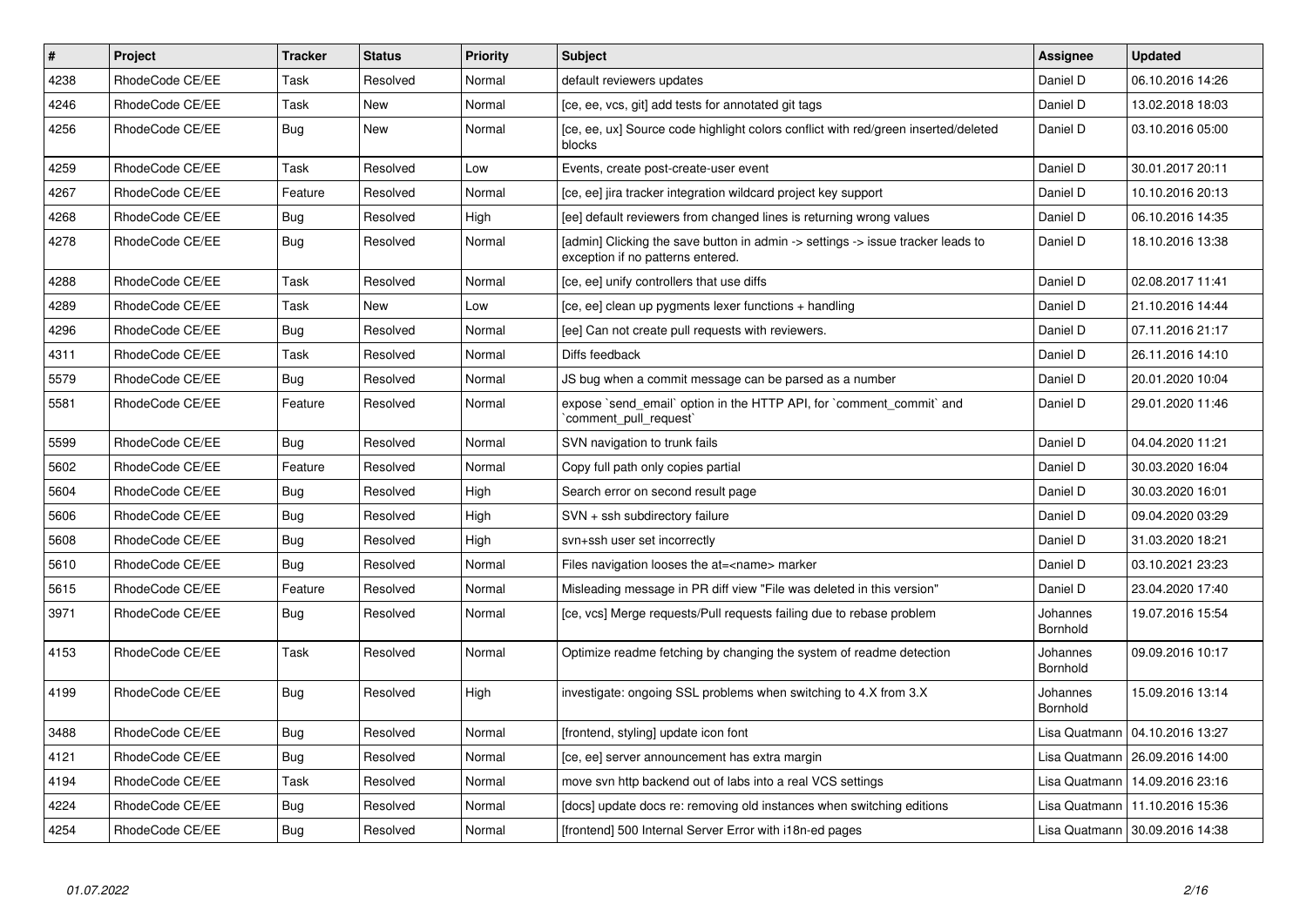| $\vert$ # | Project         | <b>Tracker</b> | <b>Status</b> | Priority | <b>Subject</b>                                                                                                       | <b>Assignee</b>      | <b>Updated</b>                   |
|-----------|-----------------|----------------|---------------|----------|----------------------------------------------------------------------------------------------------------------------|----------------------|----------------------------------|
| 4238      | RhodeCode CE/EE | Task           | Resolved      | Normal   | default reviewers updates                                                                                            | Daniel D             | 06.10.2016 14:26                 |
| 4246      | RhodeCode CE/EE | Task           | New           | Normal   | [ce, ee, vcs, git] add tests for annotated git tags                                                                  | Daniel D             | 13.02.2018 18:03                 |
| 4256      | RhodeCode CE/EE | Bug            | New           | Normal   | [ce, ee, ux] Source code highlight colors conflict with red/green inserted/deleted<br>blocks                         | Daniel D             | 03.10.2016 05:00                 |
| 4259      | RhodeCode CE/EE | Task           | Resolved      | Low      | Events, create post-create-user event                                                                                | Daniel D             | 30.01.2017 20:11                 |
| 4267      | RhodeCode CE/EE | Feature        | Resolved      | Normal   | [ce, ee] jira tracker integration wildcard project key support                                                       | Daniel D             | 10.10.2016 20:13                 |
| 4268      | RhodeCode CE/EE | <b>Bug</b>     | Resolved      | High     | [ee] default reviewers from changed lines is returning wrong values                                                  | Daniel D             | 06.10.2016 14:35                 |
| 4278      | RhodeCode CE/EE | Bug            | Resolved      | Normal   | [admin] Clicking the save button in admin -> settings -> issue tracker leads to<br>exception if no patterns entered. | Daniel D             | 18.10.2016 13:38                 |
| 4288      | RhodeCode CE/EE | Task           | Resolved      | Normal   | [ce, ee] unify controllers that use diffs                                                                            | Daniel D             | 02.08.2017 11:41                 |
| 4289      | RhodeCode CE/EE | Task           | <b>New</b>    | Low      | [ce, ee] clean up pygments lexer functions + handling                                                                | Daniel D             | 21.10.2016 14:44                 |
| 4296      | RhodeCode CE/EE | <b>Bug</b>     | Resolved      | Normal   | [ee] Can not create pull requests with reviewers.                                                                    | Daniel D             | 07.11.2016 21:17                 |
| 4311      | RhodeCode CE/EE | Task           | Resolved      | Normal   | Diffs feedback                                                                                                       | Daniel D             | 26.11.2016 14:10                 |
| 5579      | RhodeCode CE/EE | Bug            | Resolved      | Normal   | JS bug when a commit message can be parsed as a number                                                               | Daniel D             | 20.01.2020 10:04                 |
| 5581      | RhodeCode CE/EE | Feature        | Resolved      | Normal   | expose `send email` option in the HTTP API, for `comment commit` and<br>comment pull request                         | Daniel D             | 29.01.2020 11:46                 |
| 5599      | RhodeCode CE/EE | <b>Bug</b>     | Resolved      | Normal   | SVN navigation to trunk fails                                                                                        | Daniel D             | 04.04.2020 11:21                 |
| 5602      | RhodeCode CE/EE | Feature        | Resolved      | Normal   | Copy full path only copies partial                                                                                   | Daniel D             | 30.03.2020 16:04                 |
| 5604      | RhodeCode CE/EE | Bug            | Resolved      | High     | Search error on second result page                                                                                   | Daniel D             | 30.03.2020 16:01                 |
| 5606      | RhodeCode CE/EE | <b>Bug</b>     | Resolved      | High     | SVN + ssh subdirectory failure                                                                                       | Daniel D             | 09.04.2020 03:29                 |
| 5608      | RhodeCode CE/EE | <b>Bug</b>     | Resolved      | High     | svn+ssh user set incorrectly                                                                                         | Daniel D             | 31.03.2020 18:21                 |
| 5610      | RhodeCode CE/EE | Bug            | Resolved      | Normal   | Files navigation looses the at= <name> marker</name>                                                                 | Daniel D             | 03.10.2021 23:23                 |
| 5615      | RhodeCode CE/EE | Feature        | Resolved      | Normal   | Misleading message in PR diff view "File was deleted in this version"                                                | Daniel D             | 23.04.2020 17:40                 |
| 3971      | RhodeCode CE/EE | <b>Bug</b>     | Resolved      | Normal   | [ce, vcs] Merge requests/Pull requests failing due to rebase problem                                                 | Johannes<br>Bornhold | 19.07.2016 15:54                 |
| 4153      | RhodeCode CE/EE | Task           | Resolved      | Normal   | Optimize readme fetching by changing the system of readme detection                                                  | Johannes<br>Bornhold | 09.09.2016 10:17                 |
| 4199      | RhodeCode CE/EE | Bug            | Resolved      | High     | investigate: ongoing SSL problems when switching to 4.X from 3.X                                                     | Johannes<br>Bornhold | 15.09.2016 13:14                 |
| 3488      | RhodeCode CE/EE | <b>Bug</b>     | Resolved      | Normal   | [frontend, styling] update icon font                                                                                 |                      | Lisa Quatmann   04.10.2016 13:27 |
| 4121      | RhodeCode CE/EE | Bug            | Resolved      | Normal   | [ce, ee] server announcement has extra margin                                                                        |                      | Lisa Quatmann   26.09.2016 14:00 |
| 4194      | RhodeCode CE/EE | Task           | Resolved      | Normal   | move syn http backend out of labs into a real VCS settings                                                           | Lisa Quatmann        | 14.09.2016 23:16                 |
| 4224      | RhodeCode CE/EE | Bug            | Resolved      | Normal   | [docs] update docs re: removing old instances when switching editions                                                | Lisa Quatmann        | 11.10.2016 15:36                 |
| 4254      | RhodeCode CE/EE | Bug            | Resolved      | Normal   | [frontend] 500 Internal Server Error with i18n-ed pages                                                              |                      | Lisa Quatmann   30.09.2016 14:38 |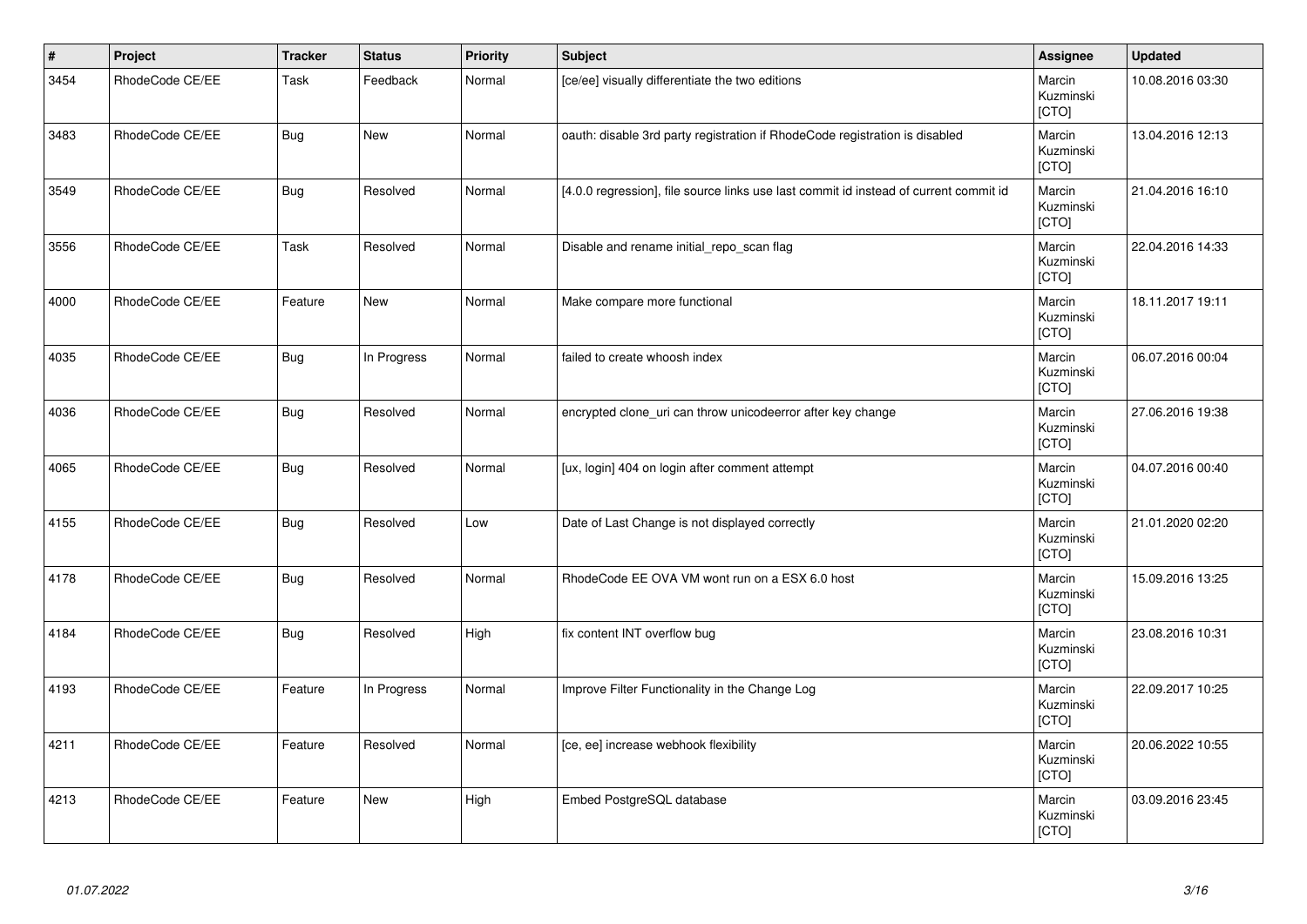| $\vert$ # | Project         | <b>Tracker</b> | <b>Status</b> | <b>Priority</b> | Subject                                                                               | <b>Assignee</b>              | <b>Updated</b>   |
|-----------|-----------------|----------------|---------------|-----------------|---------------------------------------------------------------------------------------|------------------------------|------------------|
| 3454      | RhodeCode CE/EE | Task           | Feedback      | Normal          | [ce/ee] visually differentiate the two editions                                       | Marcin<br>Kuzminski<br>[CTO] | 10.08.2016 03:30 |
| 3483      | RhodeCode CE/EE | <b>Bug</b>     | New           | Normal          | oauth: disable 3rd party registration if RhodeCode registration is disabled           | Marcin<br>Kuzminski<br>[CTO] | 13.04.2016 12:13 |
| 3549      | RhodeCode CE/EE | <b>Bug</b>     | Resolved      | Normal          | [4.0.0 regression], file source links use last commit id instead of current commit id | Marcin<br>Kuzminski<br>[CTO] | 21.04.2016 16:10 |
| 3556      | RhodeCode CE/EE | Task           | Resolved      | Normal          | Disable and rename initial_repo_scan flag                                             | Marcin<br>Kuzminski<br>[CTO] | 22.04.2016 14:33 |
| 4000      | RhodeCode CE/EE | Feature        | New           | Normal          | Make compare more functional                                                          | Marcin<br>Kuzminski<br>[CTO] | 18.11.2017 19:11 |
| 4035      | RhodeCode CE/EE | <b>Bug</b>     | In Progress   | Normal          | failed to create whoosh index                                                         | Marcin<br>Kuzminski<br>[CTO] | 06.07.2016 00:04 |
| 4036      | RhodeCode CE/EE | <b>Bug</b>     | Resolved      | Normal          | encrypted clone_uri can throw unicodeerror after key change                           | Marcin<br>Kuzminski<br>[CTO] | 27.06.2016 19:38 |
| 4065      | RhodeCode CE/EE | Bug            | Resolved      | Normal          | [ux, login] 404 on login after comment attempt                                        | Marcin<br>Kuzminski<br>[CTO] | 04.07.2016 00:40 |
| 4155      | RhodeCode CE/EE | <b>Bug</b>     | Resolved      | Low             | Date of Last Change is not displayed correctly                                        | Marcin<br>Kuzminski<br>[CTO] | 21.01.2020 02:20 |
| 4178      | RhodeCode CE/EE | <b>Bug</b>     | Resolved      | Normal          | RhodeCode EE OVA VM wont run on a ESX 6.0 host                                        | Marcin<br>Kuzminski<br>[CTO] | 15.09.2016 13:25 |
| 4184      | RhodeCode CE/EE | <b>Bug</b>     | Resolved      | High            | fix content INT overflow bug                                                          | Marcin<br>Kuzminski<br>[CTO] | 23.08.2016 10:31 |
| 4193      | RhodeCode CE/EE | Feature        | In Progress   | Normal          | Improve Filter Functionality in the Change Log                                        | Marcin<br>Kuzminski<br>[CTO] | 22.09.2017 10:25 |
| 4211      | RhodeCode CE/EE | Feature        | Resolved      | Normal          | [ce, ee] increase webhook flexibility                                                 | Marcin<br>Kuzminski<br>[CTO] | 20.06.2022 10:55 |
| 4213      | RhodeCode CE/EE | Feature        | New           | High            | Embed PostgreSQL database                                                             | Marcin<br>Kuzminski<br>[CTO] | 03.09.2016 23:45 |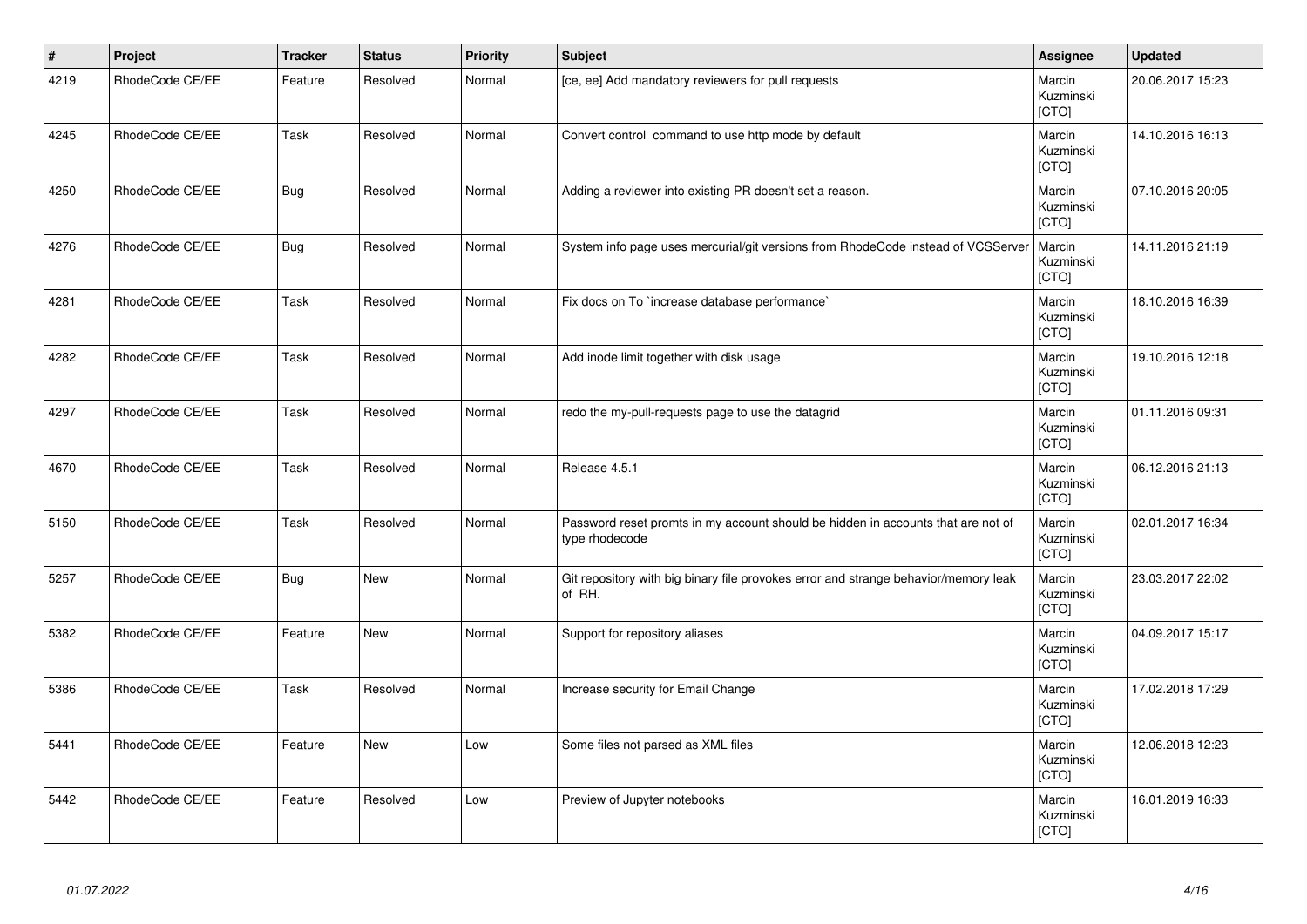| $\vert$ # | Project         | <b>Tracker</b> | <b>Status</b> | <b>Priority</b> | Subject                                                                                            | Assignee                     | <b>Updated</b>   |
|-----------|-----------------|----------------|---------------|-----------------|----------------------------------------------------------------------------------------------------|------------------------------|------------------|
| 4219      | RhodeCode CE/EE | Feature        | Resolved      | Normal          | [ce, ee] Add mandatory reviewers for pull requests                                                 | Marcin<br>Kuzminski<br>[CTO] | 20.06.2017 15:23 |
| 4245      | RhodeCode CE/EE | Task           | Resolved      | Normal          | Convert control command to use http mode by default                                                | Marcin<br>Kuzminski<br>[CTO] | 14.10.2016 16:13 |
| 4250      | RhodeCode CE/EE | Bug            | Resolved      | Normal          | Adding a reviewer into existing PR doesn't set a reason.                                           | Marcin<br>Kuzminski<br>[CTO] | 07.10.2016 20:05 |
| 4276      | RhodeCode CE/EE | <b>Bug</b>     | Resolved      | Normal          | System info page uses mercurial/git versions from RhodeCode instead of VCSServer                   | Marcin<br>Kuzminski<br>[CTO] | 14.11.2016 21:19 |
| 4281      | RhodeCode CE/EE | Task           | Resolved      | Normal          | Fix docs on To `increase database performance`                                                     | Marcin<br>Kuzminski<br>[CTO] | 18.10.2016 16:39 |
| 4282      | RhodeCode CE/EE | Task           | Resolved      | Normal          | Add inode limit together with disk usage                                                           | Marcin<br>Kuzminski<br>[CTO] | 19.10.2016 12:18 |
| 4297      | RhodeCode CE/EE | Task           | Resolved      | Normal          | redo the my-pull-requests page to use the datagrid                                                 | Marcin<br>Kuzminski<br>[CTO] | 01.11.2016 09:31 |
| 4670      | RhodeCode CE/EE | Task           | Resolved      | Normal          | Release 4.5.1                                                                                      | Marcin<br>Kuzminski<br>[CTO] | 06.12.2016 21:13 |
| 5150      | RhodeCode CE/EE | Task           | Resolved      | Normal          | Password reset promts in my account should be hidden in accounts that are not of<br>type rhodecode | Marcin<br>Kuzminski<br>[CTO] | 02.01.2017 16:34 |
| 5257      | RhodeCode CE/EE | <b>Bug</b>     | <b>New</b>    | Normal          | Git repository with big binary file provokes error and strange behavior/memory leak<br>of RH.      | Marcin<br>Kuzminski<br>[CTO] | 23.03.2017 22:02 |
| 5382      | RhodeCode CE/EE | Feature        | <b>New</b>    | Normal          | Support for repository aliases                                                                     | Marcin<br>Kuzminski<br>[CTO] | 04.09.2017 15:17 |
| 5386      | RhodeCode CE/EE | Task           | Resolved      | Normal          | Increase security for Email Change                                                                 | Marcin<br>Kuzminski<br>[CTO] | 17.02.2018 17:29 |
| 5441      | RhodeCode CE/EE | Feature        | <b>New</b>    | Low             | Some files not parsed as XML files                                                                 | Marcin<br>Kuzminski<br>[CTO] | 12.06.2018 12:23 |
| 5442      | RhodeCode CE/EE | Feature        | Resolved      | Low             | Preview of Jupyter notebooks                                                                       | Marcin<br>Kuzminski<br>[CTO] | 16.01.2019 16:33 |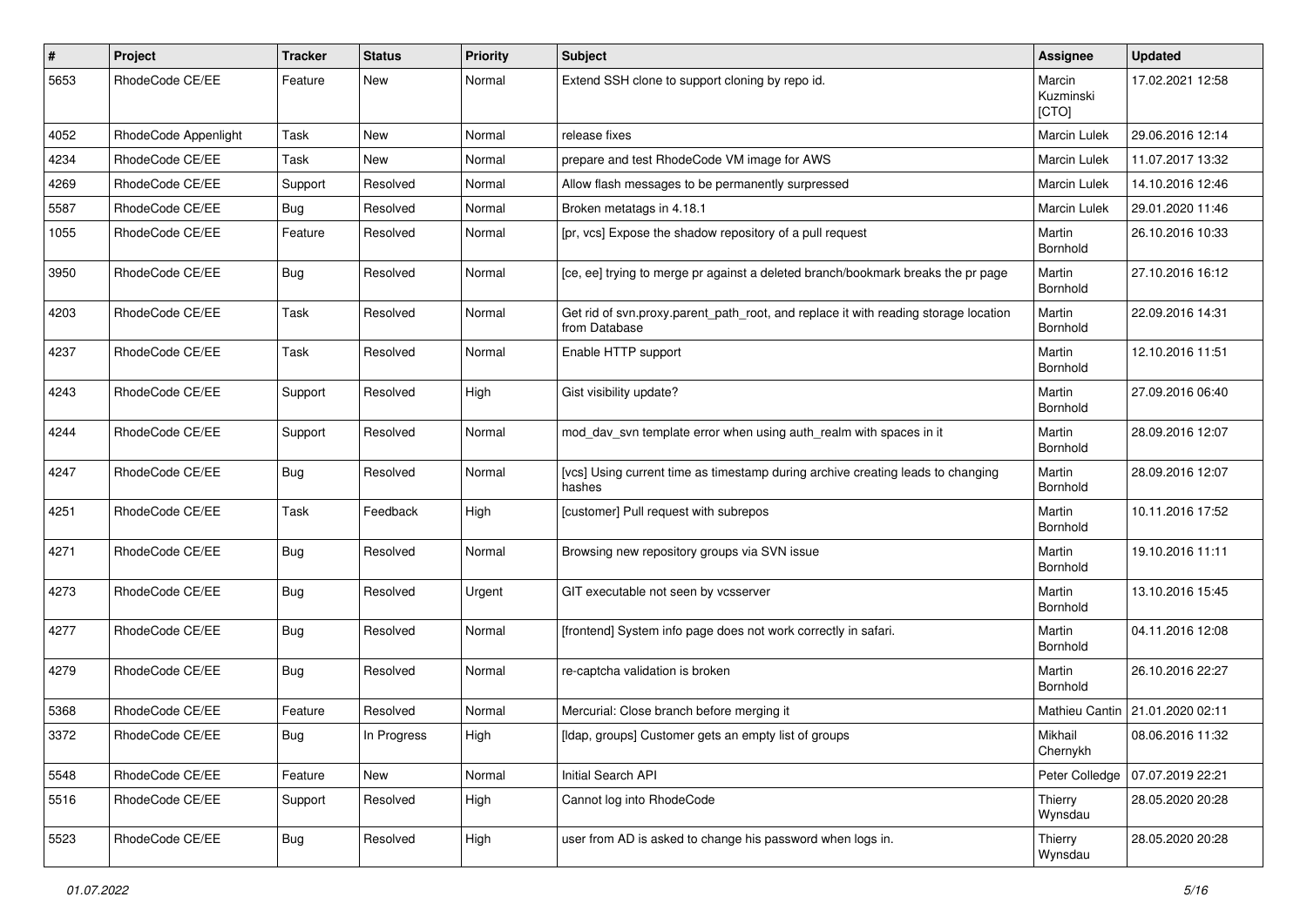| $\pmb{\#}$ | Project              | Tracker    | <b>Status</b> | <b>Priority</b> | <b>Subject</b>                                                                                       | Assignee                     | <b>Updated</b>                    |
|------------|----------------------|------------|---------------|-----------------|------------------------------------------------------------------------------------------------------|------------------------------|-----------------------------------|
| 5653       | RhodeCode CE/EE      | Feature    | New           | Normal          | Extend SSH clone to support cloning by repo id.                                                      | Marcin<br>Kuzminski<br>[CTO] | 17.02.2021 12:58                  |
| 4052       | RhodeCode Appenlight | Task       | New           | Normal          | release fixes                                                                                        | <b>Marcin Lulek</b>          | 29.06.2016 12:14                  |
| 4234       | RhodeCode CE/EE      | Task       | <b>New</b>    | Normal          | prepare and test RhodeCode VM image for AWS                                                          | Marcin Lulek                 | 11.07.2017 13:32                  |
| 4269       | RhodeCode CE/EE      | Support    | Resolved      | Normal          | Allow flash messages to be permanently surpressed                                                    | Marcin Lulek                 | 14.10.2016 12:46                  |
| 5587       | RhodeCode CE/EE      | Bug        | Resolved      | Normal          | Broken metatags in 4.18.1                                                                            | <b>Marcin Lulek</b>          | 29.01.2020 11:46                  |
| 1055       | RhodeCode CE/EE      | Feature    | Resolved      | Normal          | [pr, vcs] Expose the shadow repository of a pull request                                             | Martin<br>Bornhold           | 26.10.2016 10:33                  |
| 3950       | RhodeCode CE/EE      | Bug        | Resolved      | Normal          | [ce, ee] trying to merge pr against a deleted branch/bookmark breaks the pr page                     | Martin<br>Bornhold           | 27.10.2016 16:12                  |
| 4203       | RhodeCode CE/EE      | Task       | Resolved      | Normal          | Get rid of svn.proxy.parent_path_root, and replace it with reading storage location<br>from Database | Martin<br>Bornhold           | 22.09.2016 14:31                  |
| 4237       | RhodeCode CE/EE      | Task       | Resolved      | Normal          | Enable HTTP support                                                                                  | Martin<br>Bornhold           | 12.10.2016 11:51                  |
| 4243       | RhodeCode CE/EE      | Support    | Resolved      | High            | Gist visibility update?                                                                              | Martin<br>Bornhold           | 27.09.2016 06:40                  |
| 4244       | RhodeCode CE/EE      | Support    | Resolved      | Normal          | mod_dav_svn template error when using auth_realm with spaces in it                                   | Martin<br>Bornhold           | 28.09.2016 12:07                  |
| 4247       | RhodeCode CE/EE      | Bug        | Resolved      | Normal          | [vcs] Using current time as timestamp during archive creating leads to changing<br>hashes            | Martin<br>Bornhold           | 28.09.2016 12:07                  |
| 4251       | RhodeCode CE/EE      | Task       | Feedback      | High            | [customer] Pull request with subrepos                                                                | Martin<br>Bornhold           | 10.11.2016 17:52                  |
| 4271       | RhodeCode CE/EE      | Bug        | Resolved      | Normal          | Browsing new repository groups via SVN issue                                                         | Martin<br>Bornhold           | 19.10.2016 11:11                  |
| 4273       | RhodeCode CE/EE      | Bug        | Resolved      | Urgent          | GIT executable not seen by vcsserver                                                                 | Martin<br>Bornhold           | 13.10.2016 15:45                  |
| 4277       | RhodeCode CE/EE      | Bug        | Resolved      | Normal          | [frontend] System info page does not work correctly in safari.                                       | Martin<br>Bornhold           | 04.11.2016 12:08                  |
| 4279       | RhodeCode CE/EE      | Bug        | Resolved      | Normal          | re-captcha validation is broken                                                                      | Martin<br>Bornhold           | 26.10.2016 22:27                  |
| 5368       | RhodeCode CE/EE      | Feature    | Resolved      | Normal          | Mercurial: Close branch before merging it                                                            |                              | Mathieu Cantin   21.01.2020 02:11 |
| 3372       | RhodeCode CE/EE      | Bug        | In Progress   | High            | [Idap, groups] Customer gets an empty list of groups                                                 | Mikhail<br>Chernykh          | 08.06.2016 11:32                  |
| 5548       | RhodeCode CE/EE      | Feature    | New           | Normal          | Initial Search API                                                                                   | Peter Colledge               | 07.07.2019 22:21                  |
| 5516       | RhodeCode CE/EE      | Support    | Resolved      | High            | Cannot log into RhodeCode                                                                            | Thierry<br>Wynsdau           | 28.05.2020 20:28                  |
| 5523       | RhodeCode CE/EE      | <b>Bug</b> | Resolved      | High            | user from AD is asked to change his password when logs in.                                           | Thierry<br>Wynsdau           | 28.05.2020 20:28                  |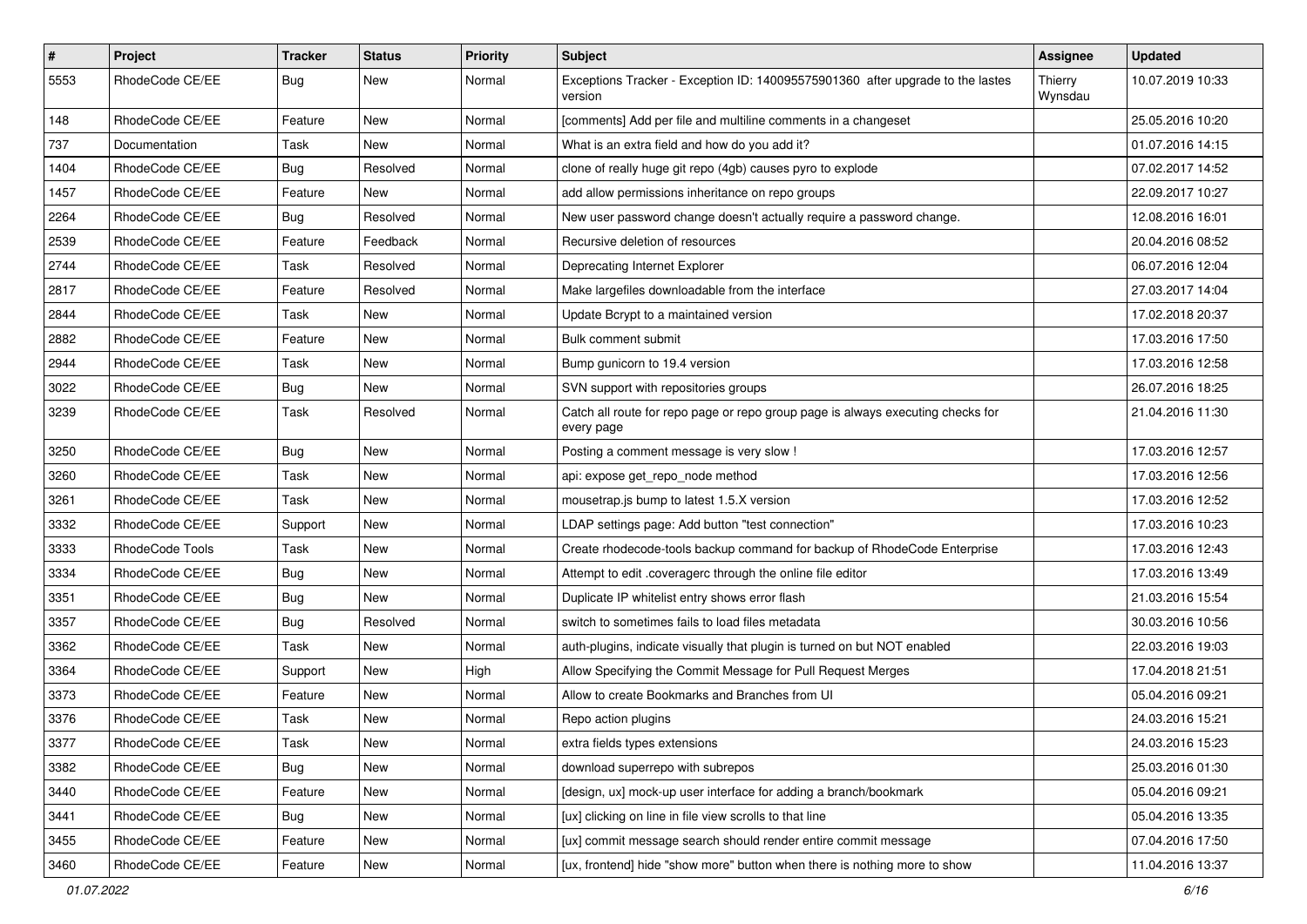| $\pmb{\#}$ | Project         | <b>Tracker</b> | <b>Status</b> | <b>Priority</b> | <b>Subject</b>                                                                                | <b>Assignee</b>    | <b>Updated</b>   |
|------------|-----------------|----------------|---------------|-----------------|-----------------------------------------------------------------------------------------------|--------------------|------------------|
| 5553       | RhodeCode CE/EE | Bug            | New           | Normal          | Exceptions Tracker - Exception ID: 140095575901360 after upgrade to the lastes<br>version     | Thierry<br>Wynsdau | 10.07.2019 10:33 |
| 148        | RhodeCode CE/EE | Feature        | <b>New</b>    | Normal          | [comments] Add per file and multiline comments in a changeset                                 |                    | 25.05.2016 10:20 |
| 737        | Documentation   | Task           | New           | Normal          | What is an extra field and how do you add it?                                                 |                    | 01.07.2016 14:15 |
| 1404       | RhodeCode CE/EE | Bug            | Resolved      | Normal          | clone of really huge git repo (4gb) causes pyro to explode                                    |                    | 07.02.2017 14:52 |
| 1457       | RhodeCode CE/EE | Feature        | <b>New</b>    | Normal          | add allow permissions inheritance on repo groups                                              |                    | 22.09.2017 10:27 |
| 2264       | RhodeCode CE/EE | Bug            | Resolved      | Normal          | New user password change doesn't actually require a password change.                          |                    | 12.08.2016 16:01 |
| 2539       | RhodeCode CE/EE | Feature        | Feedback      | Normal          | Recursive deletion of resources                                                               |                    | 20.04.2016 08:52 |
| 2744       | RhodeCode CE/EE | Task           | Resolved      | Normal          | Deprecating Internet Explorer                                                                 |                    | 06.07.2016 12:04 |
| 2817       | RhodeCode CE/EE | Feature        | Resolved      | Normal          | Make largefiles downloadable from the interface                                               |                    | 27.03.2017 14:04 |
| 2844       | RhodeCode CE/EE | Task           | New           | Normal          | Update Bcrypt to a maintained version                                                         |                    | 17.02.2018 20:37 |
| 2882       | RhodeCode CE/EE | Feature        | New           | Normal          | Bulk comment submit                                                                           |                    | 17.03.2016 17:50 |
| 2944       | RhodeCode CE/EE | <b>Task</b>    | <b>New</b>    | Normal          | Bump gunicorn to 19.4 version                                                                 |                    | 17.03.2016 12:58 |
| 3022       | RhodeCode CE/EE | Bug            | New           | Normal          | SVN support with repositories groups                                                          |                    | 26.07.2016 18:25 |
| 3239       | RhodeCode CE/EE | Task           | Resolved      | Normal          | Catch all route for repo page or repo group page is always executing checks for<br>every page |                    | 21.04.2016 11:30 |
| 3250       | RhodeCode CE/EE | Bug            | <b>New</b>    | Normal          | Posting a comment message is very slow !                                                      |                    | 17.03.2016 12:57 |
| 3260       | RhodeCode CE/EE | Task           | <b>New</b>    | Normal          | api: expose get_repo_node method                                                              |                    | 17.03.2016 12:56 |
| 3261       | RhodeCode CE/EE | Task           | New           | Normal          | mousetrap.js bump to latest 1.5.X version                                                     |                    | 17.03.2016 12:52 |
| 3332       | RhodeCode CE/EE | Support        | New           | Normal          | LDAP settings page: Add button "test connection"                                              |                    | 17.03.2016 10:23 |
| 3333       | RhodeCode Tools | <b>Task</b>    | <b>New</b>    | Normal          | Create rhodecode-tools backup command for backup of RhodeCode Enterprise                      |                    | 17.03.2016 12:43 |
| 3334       | RhodeCode CE/EE | Bug            | New           | Normal          | Attempt to edit .coveragerc through the online file editor                                    |                    | 17.03.2016 13:49 |
| 3351       | RhodeCode CE/EE | <b>Bug</b>     | <b>New</b>    | Normal          | Duplicate IP whitelist entry shows error flash                                                |                    | 21.03.2016 15:54 |
| 3357       | RhodeCode CE/EE | Bug            | Resolved      | Normal          | switch to sometimes fails to load files metadata                                              |                    | 30.03.2016 10:56 |
| 3362       | RhodeCode CE/EE | Task           | New           | Normal          | auth-plugins, indicate visually that plugin is turned on but NOT enabled                      |                    | 22.03.2016 19:03 |
| 3364       | RhodeCode CE/EE | Support        | New           | High            | Allow Specifying the Commit Message for Pull Request Merges                                   |                    | 17.04.2018 21:51 |
| 3373       | RhodeCode CE/EE | Feature        | New           | Normal          | Allow to create Bookmarks and Branches from UI                                                |                    | 05.04.2016 09:21 |
| 3376       | RhodeCode CE/EE | Task           | New           | Normal          | Repo action plugins                                                                           |                    | 24.03.2016 15:21 |
| 3377       | RhodeCode CE/EE | Task           | New           | Normal          | extra fields types extensions                                                                 |                    | 24.03.2016 15:23 |
| 3382       | RhodeCode CE/EE | Bug            | New           | Normal          | download superrepo with subrepos                                                              |                    | 25.03.2016 01:30 |
| 3440       | RhodeCode CE/EE | Feature        | New           | Normal          | [design, ux] mock-up user interface for adding a branch/bookmark                              |                    | 05.04.2016 09:21 |
| 3441       | RhodeCode CE/EE | Bug            | New           | Normal          | [ux] clicking on line in file view scrolls to that line                                       |                    | 05.04.2016 13:35 |
| 3455       | RhodeCode CE/EE | Feature        | New           | Normal          | [ux] commit message search should render entire commit message                                |                    | 07.04.2016 17:50 |
| 3460       | RhodeCode CE/EE | Feature        | New           | Normal          | [ux, frontend] hide "show more" button when there is nothing more to show                     |                    | 11.04.2016 13:37 |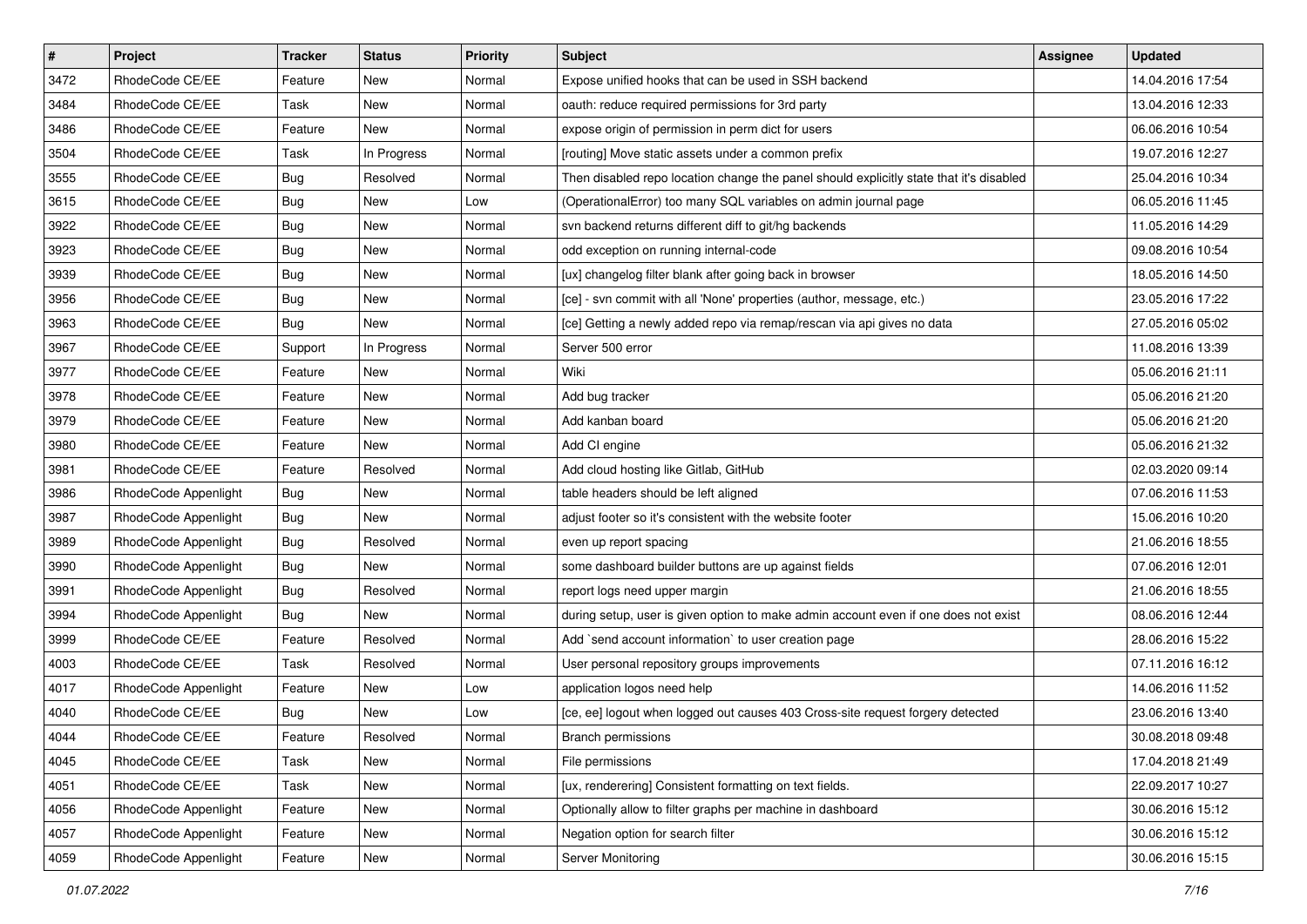| $\vert$ # | Project              | Tracker    | <b>Status</b> | <b>Priority</b> | <b>Subject</b>                                                                          | <b>Assignee</b> | <b>Updated</b>   |
|-----------|----------------------|------------|---------------|-----------------|-----------------------------------------------------------------------------------------|-----------------|------------------|
| 3472      | RhodeCode CE/EE      | Feature    | New           | Normal          | Expose unified hooks that can be used in SSH backend                                    |                 | 14.04.2016 17:54 |
| 3484      | RhodeCode CE/EE      | Task       | New           | Normal          | oauth: reduce required permissions for 3rd party                                        |                 | 13.04.2016 12:33 |
| 3486      | RhodeCode CE/EE      | Feature    | New           | Normal          | expose origin of permission in perm dict for users                                      |                 | 06.06.2016 10:54 |
| 3504      | RhodeCode CE/EE      | Task       | In Progress   | Normal          | [routing] Move static assets under a common prefix                                      |                 | 19.07.2016 12:27 |
| 3555      | RhodeCode CE/EE      | <b>Bug</b> | Resolved      | Normal          | Then disabled repo location change the panel should explicitly state that it's disabled |                 | 25.04.2016 10:34 |
| 3615      | RhodeCode CE/EE      | Bug        | New           | Low             | (OperationalError) too many SQL variables on admin journal page                         |                 | 06.05.2016 11:45 |
| 3922      | RhodeCode CE/EE      | Bug        | New           | Normal          | svn backend returns different diff to git/hg backends                                   |                 | 11.05.2016 14:29 |
| 3923      | RhodeCode CE/EE      | <b>Bug</b> | New           | Normal          | odd exception on running internal-code                                                  |                 | 09.08.2016 10:54 |
| 3939      | RhodeCode CE/EE      | <b>Bug</b> | New           | Normal          | [ux] changelog filter blank after going back in browser                                 |                 | 18.05.2016 14:50 |
| 3956      | RhodeCode CE/EE      | Bug        | New           | Normal          | [ce] - svn commit with all 'None' properties (author, message, etc.)                    |                 | 23.05.2016 17:22 |
| 3963      | RhodeCode CE/EE      | Bug        | New           | Normal          | [ce] Getting a newly added repo via remap/rescan via api gives no data                  |                 | 27.05.2016 05:02 |
| 3967      | RhodeCode CE/EE      | Support    | In Progress   | Normal          | Server 500 error                                                                        |                 | 11.08.2016 13:39 |
| 3977      | RhodeCode CE/EE      | Feature    | <b>New</b>    | Normal          | Wiki                                                                                    |                 | 05.06.2016 21:11 |
| 3978      | RhodeCode CE/EE      | Feature    | New           | Normal          | Add bug tracker                                                                         |                 | 05.06.2016 21:20 |
| 3979      | RhodeCode CE/EE      | Feature    | New           | Normal          | Add kanban board                                                                        |                 | 05.06.2016 21:20 |
| 3980      | RhodeCode CE/EE      | Feature    | New           | Normal          | Add CI engine                                                                           |                 | 05.06.2016 21:32 |
| 3981      | RhodeCode CE/EE      | Feature    | Resolved      | Normal          | Add cloud hosting like Gitlab, GitHub                                                   |                 | 02.03.2020 09:14 |
| 3986      | RhodeCode Appenlight | Bug        | New           | Normal          | table headers should be left aligned                                                    |                 | 07.06.2016 11:53 |
| 3987      | RhodeCode Appenlight | Bug        | New           | Normal          | adjust footer so it's consistent with the website footer                                |                 | 15.06.2016 10:20 |
| 3989      | RhodeCode Appenlight | Bug        | Resolved      | Normal          | even up report spacing                                                                  |                 | 21.06.2016 18:55 |
| 3990      | RhodeCode Appenlight | <b>Bug</b> | New           | Normal          | some dashboard builder buttons are up against fields                                    |                 | 07.06.2016 12:01 |
| 3991      | RhodeCode Appenlight | <b>Bug</b> | Resolved      | Normal          | report logs need upper margin                                                           |                 | 21.06.2016 18:55 |
| 3994      | RhodeCode Appenlight | Bug        | New           | Normal          | during setup, user is given option to make admin account even if one does not exist     |                 | 08.06.2016 12:44 |
| 3999      | RhodeCode CE/EE      | Feature    | Resolved      | Normal          | Add `send account information` to user creation page                                    |                 | 28.06.2016 15:22 |
| 4003      | RhodeCode CE/EE      | Task       | Resolved      | Normal          | User personal repository groups improvements                                            |                 | 07.11.2016 16:12 |
| 4017      | RhodeCode Appenlight | Feature    | New           | Low             | application logos need help                                                             |                 | 14.06.2016 11:52 |
| 4040      | RhodeCode CE/EE      | Bug        | New           | Low             | [ce, ee] logout when logged out causes 403 Cross-site request forgery detected          |                 | 23.06.2016 13:40 |
| 4044      | RhodeCode CE/EE      | Feature    | Resolved      | Normal          | Branch permissions                                                                      |                 | 30.08.2018 09:48 |
| 4045      | RhodeCode CE/EE      | Task       | New           | Normal          | File permissions                                                                        |                 | 17.04.2018 21:49 |
| 4051      | RhodeCode CE/EE      | Task       | New           | Normal          | [ux, renderering] Consistent formatting on text fields.                                 |                 | 22.09.2017 10:27 |
| 4056      | RhodeCode Appenlight | Feature    | New           | Normal          | Optionally allow to filter graphs per machine in dashboard                              |                 | 30.06.2016 15:12 |
| 4057      | RhodeCode Appenlight | Feature    | New           | Normal          | Negation option for search filter                                                       |                 | 30.06.2016 15:12 |
| 4059      | RhodeCode Appenlight | Feature    | New           | Normal          | Server Monitoring                                                                       |                 | 30.06.2016 15:15 |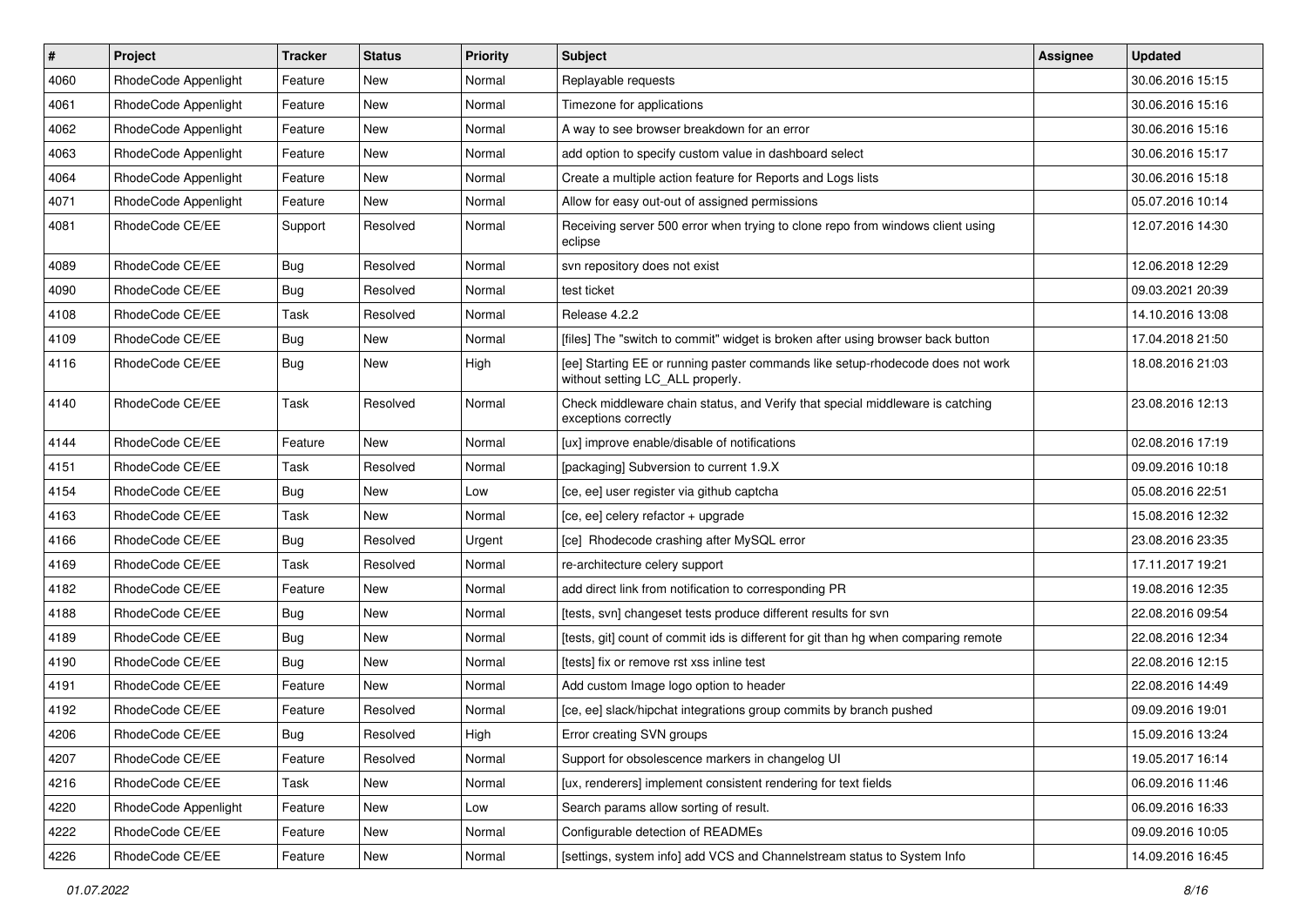| $\vert$ # | Project              | Tracker    | <b>Status</b> | <b>Priority</b> | <b>Subject</b>                                                                                                     | Assignee | <b>Updated</b>   |
|-----------|----------------------|------------|---------------|-----------------|--------------------------------------------------------------------------------------------------------------------|----------|------------------|
| 4060      | RhodeCode Appenlight | Feature    | New           | Normal          | Replayable requests                                                                                                |          | 30.06.2016 15:15 |
| 4061      | RhodeCode Appenlight | Feature    | <b>New</b>    | Normal          | Timezone for applications                                                                                          |          | 30.06.2016 15:16 |
| 4062      | RhodeCode Appenlight | Feature    | New           | Normal          | A way to see browser breakdown for an error                                                                        |          | 30.06.2016 15:16 |
| 4063      | RhodeCode Appenlight | Feature    | New           | Normal          | add option to specify custom value in dashboard select                                                             |          | 30.06.2016 15:17 |
| 4064      | RhodeCode Appenlight | Feature    | New           | Normal          | Create a multiple action feature for Reports and Logs lists                                                        |          | 30.06.2016 15:18 |
| 4071      | RhodeCode Appenlight | Feature    | New           | Normal          | Allow for easy out-out of assigned permissions                                                                     |          | 05.07.2016 10:14 |
| 4081      | RhodeCode CE/EE      | Support    | Resolved      | Normal          | Receiving server 500 error when trying to clone repo from windows client using<br>eclipse                          |          | 12.07.2016 14:30 |
| 4089      | RhodeCode CE/EE      | <b>Bug</b> | Resolved      | Normal          | svn repository does not exist                                                                                      |          | 12.06.2018 12:29 |
| 4090      | RhodeCode CE/EE      | <b>Bug</b> | Resolved      | Normal          | test ticket                                                                                                        |          | 09.03.2021 20:39 |
| 4108      | RhodeCode CE/EE      | Task       | Resolved      | Normal          | Release 4.2.2                                                                                                      |          | 14.10.2016 13:08 |
| 4109      | RhodeCode CE/EE      | Bug        | New           | Normal          | [files] The "switch to commit" widget is broken after using browser back button                                    |          | 17.04.2018 21:50 |
| 4116      | RhodeCode CE/EE      | <b>Bug</b> | New           | High            | [ee] Starting EE or running paster commands like setup-rhodecode does not work<br>without setting LC_ALL properly. |          | 18.08.2016 21:03 |
| 4140      | RhodeCode CE/EE      | Task       | Resolved      | Normal          | Check middleware chain status, and Verify that special middleware is catching<br>exceptions correctly              |          | 23.08.2016 12:13 |
| 4144      | RhodeCode CE/EE      | Feature    | <b>New</b>    | Normal          | [ux] improve enable/disable of notifications                                                                       |          | 02.08.2016 17:19 |
| 4151      | RhodeCode CE/EE      | Task       | Resolved      | Normal          | [packaging] Subversion to current 1.9.X                                                                            |          | 09.09.2016 10:18 |
| 4154      | RhodeCode CE/EE      | Bug        | New           | Low             | [ce, ee] user register via github captcha                                                                          |          | 05.08.2016 22:51 |
| 4163      | RhodeCode CE/EE      | Task       | New           | Normal          | [ce, ee] celery refactor + upgrade                                                                                 |          | 15.08.2016 12:32 |
| 4166      | RhodeCode CE/EE      | <b>Bug</b> | Resolved      | Urgent          | [ce] Rhodecode crashing after MySQL error                                                                          |          | 23.08.2016 23:35 |
| 4169      | RhodeCode CE/EE      | Task       | Resolved      | Normal          | re-architecture celery support                                                                                     |          | 17.11.2017 19:21 |
| 4182      | RhodeCode CE/EE      | Feature    | New           | Normal          | add direct link from notification to corresponding PR                                                              |          | 19.08.2016 12:35 |
| 4188      | RhodeCode CE/EE      | Bug        | New           | Normal          | [tests, svn] changeset tests produce different results for svn                                                     |          | 22.08.2016 09:54 |
| 4189      | RhodeCode CE/EE      | <b>Bug</b> | New           | Normal          | [tests, git] count of commit ids is different for git than hg when comparing remote                                |          | 22.08.2016 12:34 |
| 4190      | RhodeCode CE/EE      | <b>Bug</b> | New           | Normal          | [tests] fix or remove rst xss inline test                                                                          |          | 22.08.2016 12:15 |
| 4191      | RhodeCode CE/EE      | Feature    | New           | Normal          | Add custom Image logo option to header                                                                             |          | 22.08.2016 14:49 |
| 4192      | RhodeCode CE/EE      | Feature    | Resolved      | Normal          | [ce, ee] slack/hipchat integrations group commits by branch pushed                                                 |          | 09.09.2016 19:01 |
| 4206      | RhodeCode CE/EE      | Bug        | Resolved      | High            | Error creating SVN groups                                                                                          |          | 15.09.2016 13:24 |
| 4207      | RhodeCode CE/EE      | Feature    | Resolved      | Normal          | Support for obsolescence markers in changelog UI                                                                   |          | 19.05.2017 16:14 |
| 4216      | RhodeCode CE/EE      | Task       | New           | Normal          | [ux, renderers] implement consistent rendering for text fields                                                     |          | 06.09.2016 11:46 |
| 4220      | RhodeCode Appenlight | Feature    | New           | Low             | Search params allow sorting of result.                                                                             |          | 06.09.2016 16:33 |
| 4222      | RhodeCode CE/EE      | Feature    | New           | Normal          | Configurable detection of READMEs                                                                                  |          | 09.09.2016 10:05 |
| 4226      | RhodeCode CE/EE      | Feature    | New           | Normal          | [settings, system info] add VCS and Channelstream status to System Info                                            |          | 14.09.2016 16:45 |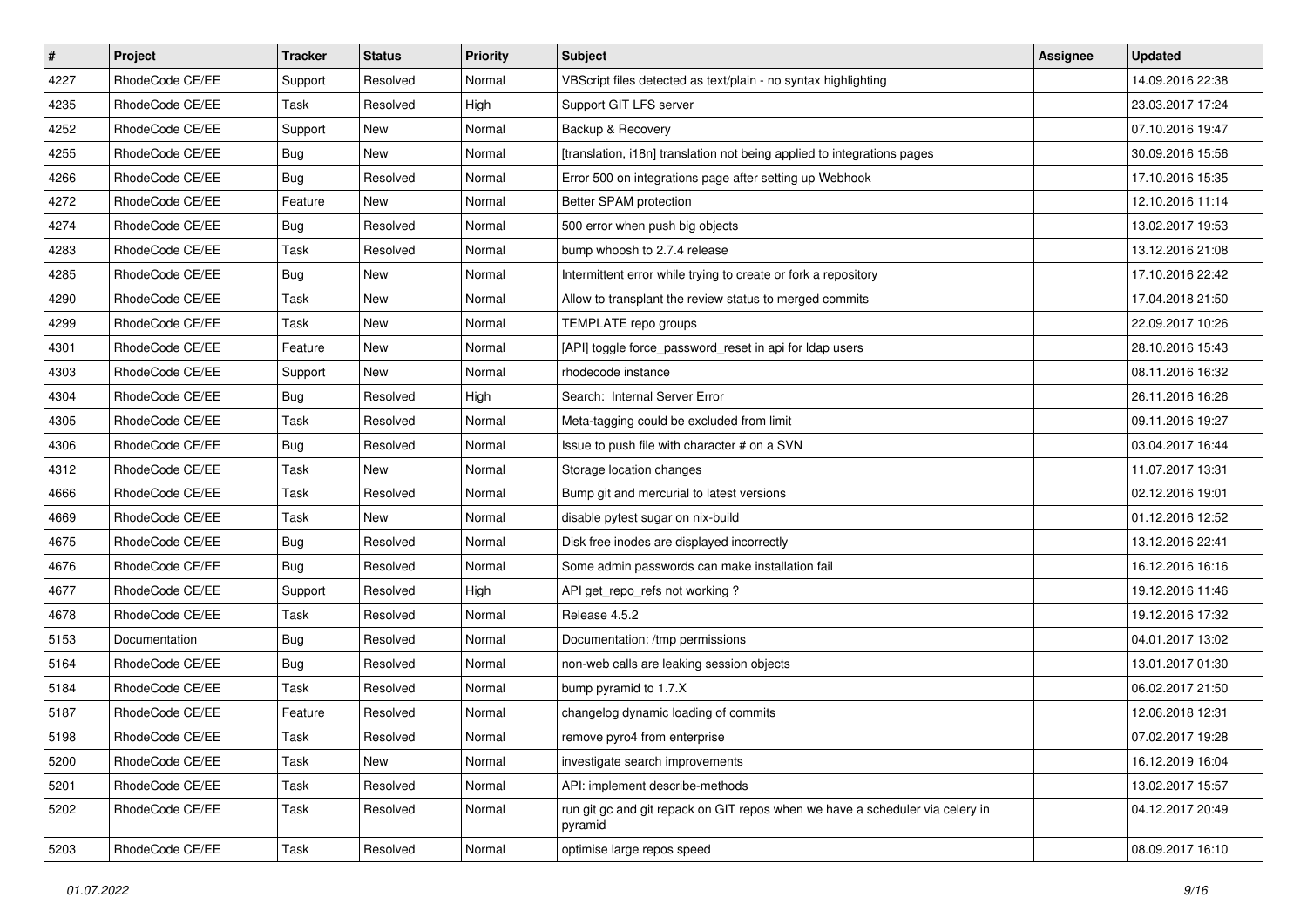| $\pmb{\#}$ | <b>Project</b>  | <b>Tracker</b> | <b>Status</b> | <b>Priority</b> | <b>Subject</b>                                                                           | Assignee | <b>Updated</b>   |
|------------|-----------------|----------------|---------------|-----------------|------------------------------------------------------------------------------------------|----------|------------------|
| 4227       | RhodeCode CE/EE | Support        | Resolved      | Normal          | VBScript files detected as text/plain - no syntax highlighting                           |          | 14.09.2016 22:38 |
| 4235       | RhodeCode CE/EE | Task           | Resolved      | High            | Support GIT LFS server                                                                   |          | 23.03.2017 17:24 |
| 4252       | RhodeCode CE/EE | Support        | New           | Normal          | Backup & Recovery                                                                        |          | 07.10.2016 19:47 |
| 4255       | RhodeCode CE/EE | Bug            | New           | Normal          | [translation, i18n] translation not being applied to integrations pages                  |          | 30.09.2016 15:56 |
| 4266       | RhodeCode CE/EE | Bug            | Resolved      | Normal          | Error 500 on integrations page after setting up Webhook                                  |          | 17.10.2016 15:35 |
| 4272       | RhodeCode CE/EE | Feature        | New           | Normal          | Better SPAM protection                                                                   |          | 12.10.2016 11:14 |
| 4274       | RhodeCode CE/EE | Bug            | Resolved      | Normal          | 500 error when push big objects                                                          |          | 13.02.2017 19:53 |
| 4283       | RhodeCode CE/EE | Task           | Resolved      | Normal          | bump whoosh to 2.7.4 release                                                             |          | 13.12.2016 21:08 |
| 4285       | RhodeCode CE/EE | Bug            | New           | Normal          | Intermittent error while trying to create or fork a repository                           |          | 17.10.2016 22:42 |
| 4290       | RhodeCode CE/EE | Task           | <b>New</b>    | Normal          | Allow to transplant the review status to merged commits                                  |          | 17.04.2018 21:50 |
| 4299       | RhodeCode CE/EE | Task           | New           | Normal          | TEMPLATE repo groups                                                                     |          | 22.09.2017 10:26 |
| 4301       | RhodeCode CE/EE | Feature        | New           | Normal          | [API] toggle force_password_reset in api for Idap users                                  |          | 28.10.2016 15:43 |
| 4303       | RhodeCode CE/EE | Support        | New           | Normal          | rhodecode instance                                                                       |          | 08.11.2016 16:32 |
| 4304       | RhodeCode CE/EE | Bug            | Resolved      | High            | Search: Internal Server Error                                                            |          | 26.11.2016 16:26 |
| 4305       | RhodeCode CE/EE | <b>Task</b>    | Resolved      | Normal          | Meta-tagging could be excluded from limit                                                |          | 09.11.2016 19:27 |
| 4306       | RhodeCode CE/EE | Bug            | Resolved      | Normal          | Issue to push file with character # on a SVN                                             |          | 03.04.2017 16:44 |
| 4312       | RhodeCode CE/EE | Task           | New           | Normal          | Storage location changes                                                                 |          | 11.07.2017 13:31 |
| 4666       | RhodeCode CE/EE | Task           | Resolved      | Normal          | Bump git and mercurial to latest versions                                                |          | 02.12.2016 19:01 |
| 4669       | RhodeCode CE/EE | Task           | New           | Normal          | disable pytest sugar on nix-build                                                        |          | 01.12.2016 12:52 |
| 4675       | RhodeCode CE/EE | Bug            | Resolved      | Normal          | Disk free inodes are displayed incorrectly                                               |          | 13.12.2016 22:41 |
| 4676       | RhodeCode CE/EE | Bug            | Resolved      | Normal          | Some admin passwords can make installation fail                                          |          | 16.12.2016 16:16 |
| 4677       | RhodeCode CE/EE | Support        | Resolved      | High            | API get_repo_refs not working?                                                           |          | 19.12.2016 11:46 |
| 4678       | RhodeCode CE/EE | <b>Task</b>    | Resolved      | Normal          | Release 4.5.2                                                                            |          | 19.12.2016 17:32 |
| 5153       | Documentation   | Bug            | Resolved      | Normal          | Documentation: /tmp permissions                                                          |          | 04.01.2017 13:02 |
| 5164       | RhodeCode CE/EE | Bug            | Resolved      | Normal          | non-web calls are leaking session objects                                                |          | 13.01.2017 01:30 |
| 5184       | RhodeCode CE/EE | Task           | Resolved      | Normal          | bump pyramid to 1.7.X                                                                    |          | 06.02.2017 21:50 |
| 5187       | RhodeCode CE/EE | Feature        | Resolved      | Normal          | changelog dynamic loading of commits                                                     |          | 12.06.2018 12:31 |
| 5198       | RhodeCode CE/EE | Task           | Resolved      | Normal          | remove pyro4 from enterprise                                                             |          | 07.02.2017 19:28 |
| 5200       | RhodeCode CE/EE | Task           | New           | Normal          | investigate search improvements                                                          |          | 16.12.2019 16:04 |
| 5201       | RhodeCode CE/EE | Task           | Resolved      | Normal          | API: implement describe-methods                                                          |          | 13.02.2017 15:57 |
| 5202       | RhodeCode CE/EE | Task           | Resolved      | Normal          | run git gc and git repack on GIT repos when we have a scheduler via celery in<br>pyramid |          | 04.12.2017 20:49 |
| 5203       | RhodeCode CE/EE | Task           | Resolved      | Normal          | optimise large repos speed                                                               |          | 08.09.2017 16:10 |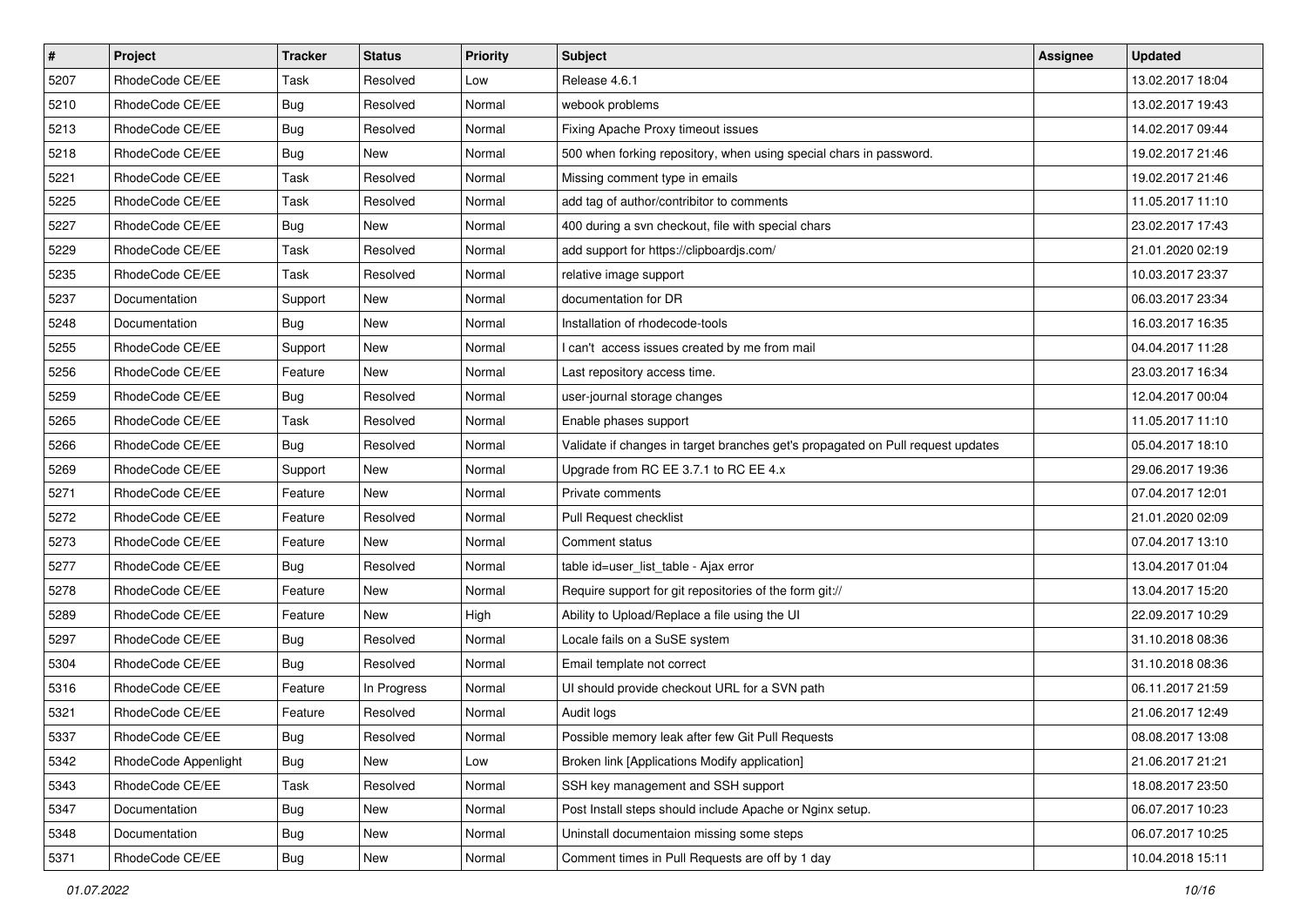| $\vert$ # | Project              | <b>Tracker</b> | <b>Status</b> | <b>Priority</b> | <b>Subject</b>                                                                  | <b>Assignee</b> | <b>Updated</b>   |
|-----------|----------------------|----------------|---------------|-----------------|---------------------------------------------------------------------------------|-----------------|------------------|
| 5207      | RhodeCode CE/EE      | Task           | Resolved      | Low             | Release 4.6.1                                                                   |                 | 13.02.2017 18:04 |
| 5210      | RhodeCode CE/EE      | <b>Bug</b>     | Resolved      | Normal          | webook problems                                                                 |                 | 13.02.2017 19:43 |
| 5213      | RhodeCode CE/EE      | <b>Bug</b>     | Resolved      | Normal          | Fixing Apache Proxy timeout issues                                              |                 | 14.02.2017 09:44 |
| 5218      | RhodeCode CE/EE      | <b>Bug</b>     | New           | Normal          | 500 when forking repository, when using special chars in password.              |                 | 19.02.2017 21:46 |
| 5221      | RhodeCode CE/EE      | Task           | Resolved      | Normal          | Missing comment type in emails                                                  |                 | 19.02.2017 21:46 |
| 5225      | RhodeCode CE/EE      | Task           | Resolved      | Normal          | add tag of author/contribitor to comments                                       |                 | 11.05.2017 11:10 |
| 5227      | RhodeCode CE/EE      | Bug            | New           | Normal          | 400 during a svn checkout, file with special chars                              |                 | 23.02.2017 17:43 |
| 5229      | RhodeCode CE/EE      | Task           | Resolved      | Normal          | add support for https://clipboardjs.com/                                        |                 | 21.01.2020 02:19 |
| 5235      | RhodeCode CE/EE      | Task           | Resolved      | Normal          | relative image support                                                          |                 | 10.03.2017 23:37 |
| 5237      | Documentation        | Support        | New           | Normal          | documentation for DR                                                            |                 | 06.03.2017 23:34 |
| 5248      | Documentation        | Bug            | New           | Normal          | Installation of rhodecode-tools                                                 |                 | 16.03.2017 16:35 |
| 5255      | RhodeCode CE/EE      | Support        | New           | Normal          | I can't access issues created by me from mail                                   |                 | 04.04.2017 11:28 |
| 5256      | RhodeCode CE/EE      | Feature        | <b>New</b>    | Normal          | Last repository access time.                                                    |                 | 23.03.2017 16:34 |
| 5259      | RhodeCode CE/EE      | <b>Bug</b>     | Resolved      | Normal          | user-journal storage changes                                                    |                 | 12.04.2017 00:04 |
| 5265      | RhodeCode CE/EE      | Task           | Resolved      | Normal          | Enable phases support                                                           |                 | 11.05.2017 11:10 |
| 5266      | RhodeCode CE/EE      | Bug            | Resolved      | Normal          | Validate if changes in target branches get's propagated on Pull request updates |                 | 05.04.2017 18:10 |
| 5269      | RhodeCode CE/EE      | Support        | New           | Normal          | Upgrade from RC EE 3.7.1 to RC EE 4.x                                           |                 | 29.06.2017 19:36 |
| 5271      | RhodeCode CE/EE      | Feature        | <b>New</b>    | Normal          | Private comments                                                                |                 | 07.04.2017 12:01 |
| 5272      | RhodeCode CE/EE      | Feature        | Resolved      | Normal          | Pull Request checklist                                                          |                 | 21.01.2020 02:09 |
| 5273      | RhodeCode CE/EE      | Feature        | New           | Normal          | Comment status                                                                  |                 | 07.04.2017 13:10 |
| 5277      | RhodeCode CE/EE      | Bug            | Resolved      | Normal          | table id=user_list_table - Ajax error                                           |                 | 13.04.2017 01:04 |
| 5278      | RhodeCode CE/EE      | Feature        | New           | Normal          | Require support for git repositories of the form git://                         |                 | 13.04.2017 15:20 |
| 5289      | RhodeCode CE/EE      | Feature        | New           | High            | Ability to Upload/Replace a file using the UI                                   |                 | 22.09.2017 10:29 |
| 5297      | RhodeCode CE/EE      | <b>Bug</b>     | Resolved      | Normal          | Locale fails on a SuSE system                                                   |                 | 31.10.2018 08:36 |
| 5304      | RhodeCode CE/EE      | Bug            | Resolved      | Normal          | Email template not correct                                                      |                 | 31.10.2018 08:36 |
| 5316      | RhodeCode CE/EE      | Feature        | In Progress   | Normal          | UI should provide checkout URL for a SVN path                                   |                 | 06.11.2017 21:59 |
| 5321      | RhodeCode CE/EE      | Feature        | Resolved      | Normal          | Audit logs                                                                      |                 | 21.06.2017 12:49 |
| 5337      | RhodeCode CE/EE      | Bug            | Resolved      | Normal          | Possible memory leak after few Git Pull Requests                                |                 | 08.08.2017 13:08 |
| 5342      | RhodeCode Appenlight | Bug            | New           | Low             | Broken link [Applications Modify application]                                   |                 | 21.06.2017 21:21 |
| 5343      | RhodeCode CE/EE      | Task           | Resolved      | Normal          | SSH key management and SSH support                                              |                 | 18.08.2017 23:50 |
| 5347      | Documentation        | Bug            | New           | Normal          | Post Install steps should include Apache or Nginx setup.                        |                 | 06.07.2017 10:23 |
| 5348      | Documentation        | <b>Bug</b>     | New           | Normal          | Uninstall documentaion missing some steps                                       |                 | 06.07.2017 10:25 |
| 5371      | RhodeCode CE/EE      | Bug            | New           | Normal          | Comment times in Pull Requests are off by 1 day                                 |                 | 10.04.2018 15:11 |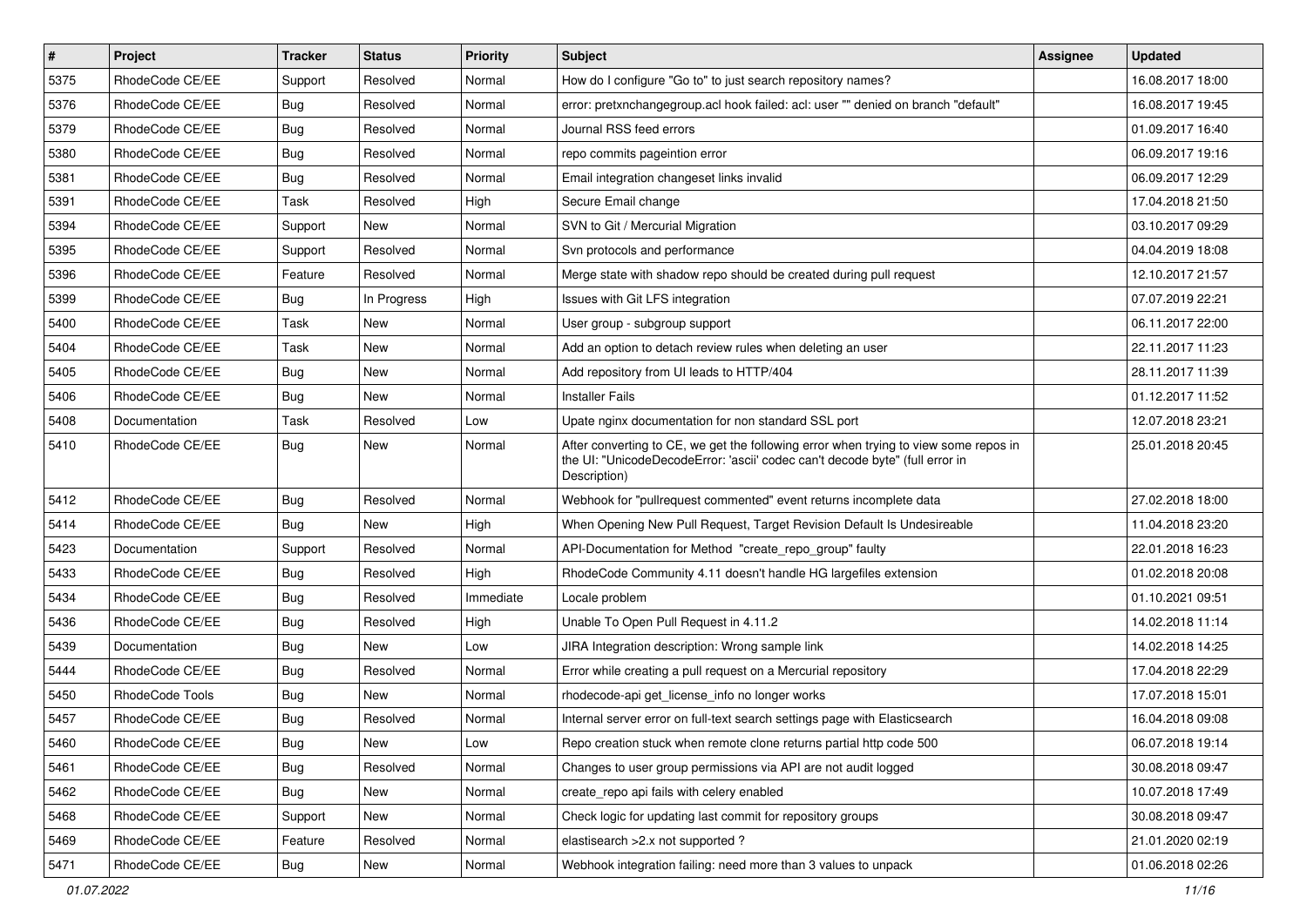| $\vert$ # | Project         | <b>Tracker</b> | <b>Status</b> | <b>Priority</b> | Subject                                                                                                                                                                              | Assignee | <b>Updated</b>   |
|-----------|-----------------|----------------|---------------|-----------------|--------------------------------------------------------------------------------------------------------------------------------------------------------------------------------------|----------|------------------|
| 5375      | RhodeCode CE/EE | Support        | Resolved      | Normal          | How do I configure "Go to" to just search repository names?                                                                                                                          |          | 16.08.2017 18:00 |
| 5376      | RhodeCode CE/EE | <b>Bug</b>     | Resolved      | Normal          | error: pretxnchangegroup.acl hook failed: acl: user "" denied on branch "default"                                                                                                    |          | 16.08.2017 19:45 |
| 5379      | RhodeCode CE/EE | Bug            | Resolved      | Normal          | Journal RSS feed errors                                                                                                                                                              |          | 01.09.2017 16:40 |
| 5380      | RhodeCode CE/EE | <b>Bug</b>     | Resolved      | Normal          | repo commits pageintion error                                                                                                                                                        |          | 06.09.2017 19:16 |
| 5381      | RhodeCode CE/EE | Bug            | Resolved      | Normal          | Email integration changeset links invalid                                                                                                                                            |          | 06.09.2017 12:29 |
| 5391      | RhodeCode CE/EE | Task           | Resolved      | High            | Secure Email change                                                                                                                                                                  |          | 17.04.2018 21:50 |
| 5394      | RhodeCode CE/EE | Support        | New           | Normal          | SVN to Git / Mercurial Migration                                                                                                                                                     |          | 03.10.2017 09:29 |
| 5395      | RhodeCode CE/EE | Support        | Resolved      | Normal          | Svn protocols and performance                                                                                                                                                        |          | 04.04.2019 18:08 |
| 5396      | RhodeCode CE/EE | Feature        | Resolved      | Normal          | Merge state with shadow repo should be created during pull request                                                                                                                   |          | 12.10.2017 21:57 |
| 5399      | RhodeCode CE/EE | Bug            | In Progress   | High            | Issues with Git LFS integration                                                                                                                                                      |          | 07.07.2019 22:21 |
| 5400      | RhodeCode CE/EE | Task           | New           | Normal          | User group - subgroup support                                                                                                                                                        |          | 06.11.2017 22:00 |
| 5404      | RhodeCode CE/EE | Task           | <b>New</b>    | Normal          | Add an option to detach review rules when deleting an user                                                                                                                           |          | 22.11.2017 11:23 |
| 5405      | RhodeCode CE/EE | <b>Bug</b>     | <b>New</b>    | Normal          | Add repository from UI leads to HTTP/404                                                                                                                                             |          | 28.11.2017 11:39 |
| 5406      | RhodeCode CE/EE | Bug            | New           | Normal          | <b>Installer Fails</b>                                                                                                                                                               |          | 01.12.2017 11:52 |
| 5408      | Documentation   | Task           | Resolved      | Low             | Upate nginx documentation for non standard SSL port                                                                                                                                  |          | 12.07.2018 23:21 |
| 5410      | RhodeCode CE/EE | Bug            | <b>New</b>    | Normal          | After converting to CE, we get the following error when trying to view some repos in<br>the UI: "UnicodeDecodeError: 'ascii' codec can't decode byte" (full error in<br>Description) |          | 25.01.2018 20:45 |
| 5412      | RhodeCode CE/EE | Bug            | Resolved      | Normal          | Webhook for "pullrequest commented" event returns incomplete data                                                                                                                    |          | 27.02.2018 18:00 |
| 5414      | RhodeCode CE/EE | Bug            | <b>New</b>    | High            | When Opening New Pull Request, Target Revision Default Is Undesireable                                                                                                               |          | 11.04.2018 23:20 |
| 5423      | Documentation   | Support        | Resolved      | Normal          | API-Documentation for Method "create_repo_group" faulty                                                                                                                              |          | 22.01.2018 16:23 |
| 5433      | RhodeCode CE/EE | Bug            | Resolved      | High            | RhodeCode Community 4.11 doesn't handle HG largefiles extension                                                                                                                      |          | 01.02.2018 20:08 |
| 5434      | RhodeCode CE/EE | Bug            | Resolved      | Immediate       | Locale problem                                                                                                                                                                       |          | 01.10.2021 09:51 |
| 5436      | RhodeCode CE/EE | Bug            | Resolved      | High            | Unable To Open Pull Request in 4.11.2                                                                                                                                                |          | 14.02.2018 11:14 |
| 5439      | Documentation   | <b>Bug</b>     | New           | Low             | JIRA Integration description: Wrong sample link                                                                                                                                      |          | 14.02.2018 14:25 |
| 5444      | RhodeCode CE/EE | Bug            | Resolved      | Normal          | Error while creating a pull request on a Mercurial repository                                                                                                                        |          | 17.04.2018 22:29 |
| 5450      | RhodeCode Tools | Bug            | New           | Normal          | rhodecode-api get license info no longer works                                                                                                                                       |          | 17.07.2018 15:01 |
| 5457      | RhodeCode CE/EE | Bug            | Resolved      | Normal          | Internal server error on full-text search settings page with Elasticsearch                                                                                                           |          | 16.04.2018 09:08 |
| 5460      | RhodeCode CE/EE | Bug            | New           | Low             | Repo creation stuck when remote clone returns partial http code 500                                                                                                                  |          | 06.07.2018 19:14 |
| 5461      | RhodeCode CE/EE | <b>Bug</b>     | Resolved      | Normal          | Changes to user group permissions via API are not audit logged                                                                                                                       |          | 30.08.2018 09:47 |
| 5462      | RhodeCode CE/EE | Bug            | New           | Normal          | create_repo api fails with celery enabled                                                                                                                                            |          | 10.07.2018 17:49 |
| 5468      | RhodeCode CE/EE | Support        | New           | Normal          | Check logic for updating last commit for repository groups                                                                                                                           |          | 30.08.2018 09:47 |
| 5469      | RhodeCode CE/EE | Feature        | Resolved      | Normal          | elastisearch > 2.x not supported ?                                                                                                                                                   |          | 21.01.2020 02:19 |
| 5471      | RhodeCode CE/EE | <b>Bug</b>     | New           | Normal          | Webhook integration failing: need more than 3 values to unpack                                                                                                                       |          | 01.06.2018 02:26 |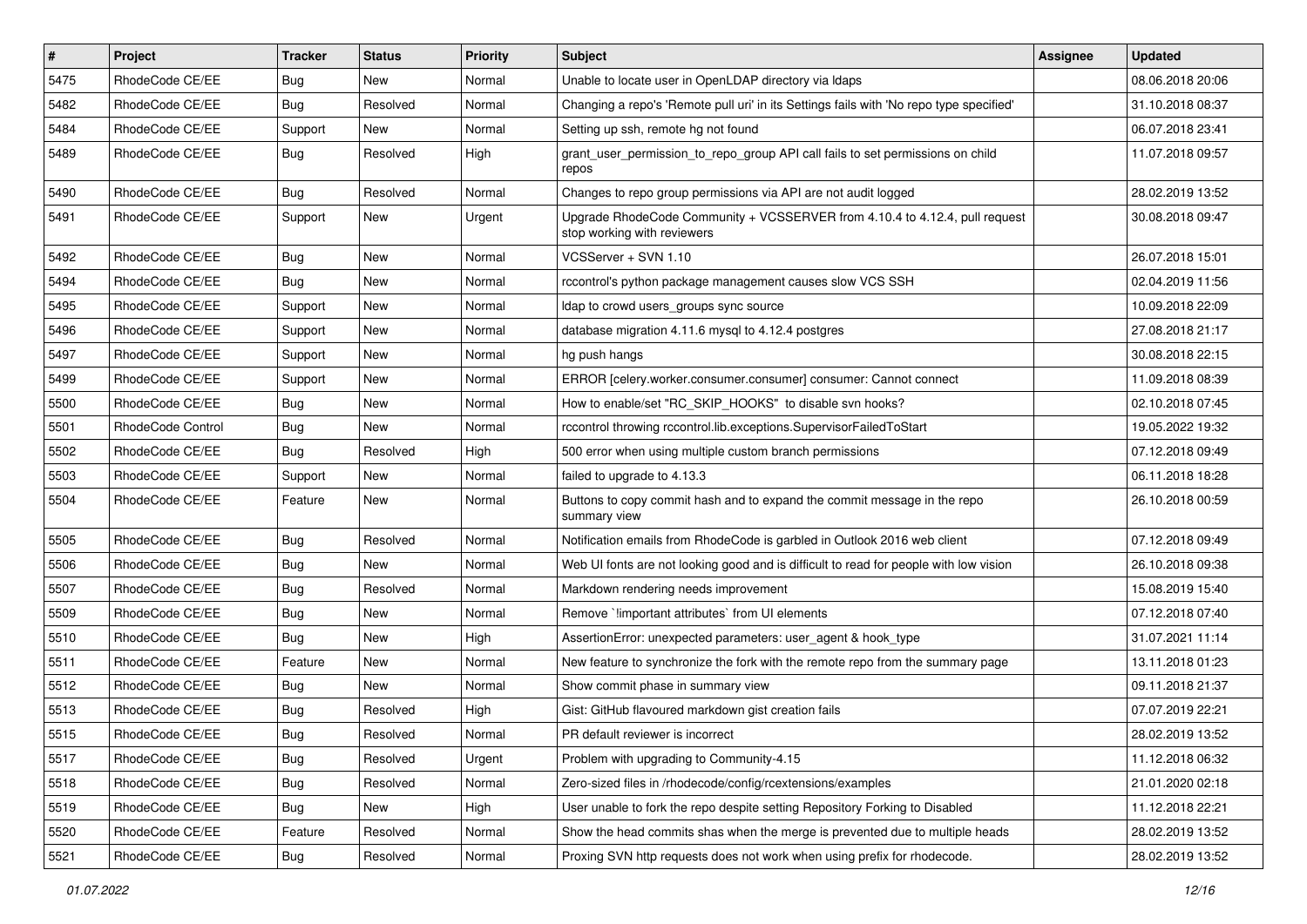| $\vert$ # | Project           | <b>Tracker</b> | <b>Status</b> | <b>Priority</b> | <b>Subject</b>                                                                                             | <b>Assignee</b> | <b>Updated</b>   |
|-----------|-------------------|----------------|---------------|-----------------|------------------------------------------------------------------------------------------------------------|-----------------|------------------|
| 5475      | RhodeCode CE/EE   | Bug            | New           | Normal          | Unable to locate user in OpenLDAP directory via Idaps                                                      |                 | 08.06.2018 20:06 |
| 5482      | RhodeCode CE/EE   | Bug            | Resolved      | Normal          | Changing a repo's 'Remote pull uri' in its Settings fails with 'No repo type specified'                    |                 | 31.10.2018 08:37 |
| 5484      | RhodeCode CE/EE   | Support        | New           | Normal          | Setting up ssh, remote hg not found                                                                        |                 | 06.07.2018 23:41 |
| 5489      | RhodeCode CE/EE   | Bug            | Resolved      | High            | grant_user_permission_to_repo_group API call fails to set permissions on child<br>repos                    |                 | 11.07.2018 09:57 |
| 5490      | RhodeCode CE/EE   | Bug            | Resolved      | Normal          | Changes to repo group permissions via API are not audit logged                                             |                 | 28.02.2019 13:52 |
| 5491      | RhodeCode CE/EE   | Support        | <b>New</b>    | Urgent          | Upgrade RhodeCode Community + VCSSERVER from 4.10.4 to 4.12.4, pull request<br>stop working with reviewers |                 | 30.08.2018 09:47 |
| 5492      | RhodeCode CE/EE   | Bug            | New           | Normal          | VCSServer + SVN 1.10                                                                                       |                 | 26.07.2018 15:01 |
| 5494      | RhodeCode CE/EE   | Bug            | New           | Normal          | rccontrol's python package management causes slow VCS SSH                                                  |                 | 02.04.2019 11:56 |
| 5495      | RhodeCode CE/EE   | Support        | New           | Normal          | Idap to crowd users groups sync source                                                                     |                 | 10.09.2018 22:09 |
| 5496      | RhodeCode CE/EE   | Support        | New           | Normal          | database migration 4.11.6 mysql to 4.12.4 postgres                                                         |                 | 27.08.2018 21:17 |
| 5497      | RhodeCode CE/EE   | Support        | <b>New</b>    | Normal          | hg push hangs                                                                                              |                 | 30.08.2018 22:15 |
| 5499      | RhodeCode CE/EE   | Support        | New           | Normal          | ERROR [celery.worker.consumer.consumer] consumer: Cannot connect                                           |                 | 11.09.2018 08:39 |
| 5500      | RhodeCode CE/EE   | Bug            | New           | Normal          | How to enable/set "RC SKIP HOOKS" to disable svn hooks?                                                    |                 | 02.10.2018 07:45 |
| 5501      | RhodeCode Control | <b>Bug</b>     | <b>New</b>    | Normal          | rccontrol throwing rccontrol.lib.exceptions.SupervisorFailedToStart                                        |                 | 19.05.2022 19:32 |
| 5502      | RhodeCode CE/EE   | <b>Bug</b>     | Resolved      | High            | 500 error when using multiple custom branch permissions                                                    |                 | 07.12.2018 09:49 |
| 5503      | RhodeCode CE/EE   | Support        | <b>New</b>    | Normal          | failed to upgrade to 4.13.3                                                                                |                 | 06.11.2018 18:28 |
| 5504      | RhodeCode CE/EE   | Feature        | New           | Normal          | Buttons to copy commit hash and to expand the commit message in the repo<br>summary view                   |                 | 26.10.2018 00:59 |
| 5505      | RhodeCode CE/EE   | Bug            | Resolved      | Normal          | Notification emails from RhodeCode is garbled in Outlook 2016 web client                                   |                 | 07.12.2018 09:49 |
| 5506      | RhodeCode CE/EE   | Bug            | New           | Normal          | Web UI fonts are not looking good and is difficult to read for people with low vision                      |                 | 26.10.2018 09:38 |
| 5507      | RhodeCode CE/EE   | Bug            | Resolved      | Normal          | Markdown rendering needs improvement                                                                       |                 | 15.08.2019 15:40 |
| 5509      | RhodeCode CE/EE   | Bug            | New           | Normal          | Remove `limportant attributes` from UI elements                                                            |                 | 07.12.2018 07:40 |
| 5510      | RhodeCode CE/EE   | Bug            | <b>New</b>    | High            | AssertionError: unexpected parameters: user_agent & hook_type                                              |                 | 31.07.2021 11:14 |
| 5511      | RhodeCode CE/EE   | Feature        | <b>New</b>    | Normal          | New feature to synchronize the fork with the remote repo from the summary page                             |                 | 13.11.2018 01:23 |
| 5512      | RhodeCode CE/EE   | Bug            | New           | Normal          | Show commit phase in summary view                                                                          |                 | 09.11.2018 21:37 |
| 5513      | RhodeCode CE/EE   | Bug            | Resolved      | High            | Gist: GitHub flavoured markdown gist creation fails                                                        |                 | 07.07.2019 22:21 |
| 5515      | RhodeCode CE/EE   | Bug            | Resolved      | Normal          | PR default reviewer is incorrect                                                                           |                 | 28.02.2019 13:52 |
| 5517      | RhodeCode CE/EE   | Bug            | Resolved      | Urgent          | Problem with upgrading to Community-4.15                                                                   |                 | 11.12.2018 06:32 |
| 5518      | RhodeCode CE/EE   | <b>Bug</b>     | Resolved      | Normal          | Zero-sized files in /rhodecode/config/rcextensions/examples                                                |                 | 21.01.2020 02:18 |
| 5519      | RhodeCode CE/EE   | Bug            | New           | High            | User unable to fork the repo despite setting Repository Forking to Disabled                                |                 | 11.12.2018 22:21 |
| 5520      | RhodeCode CE/EE   | Feature        | Resolved      | Normal          | Show the head commits shas when the merge is prevented due to multiple heads                               |                 | 28.02.2019 13:52 |
| 5521      | RhodeCode CE/EE   | <b>Bug</b>     | Resolved      | Normal          | Proxing SVN http requests does not work when using prefix for rhodecode.                                   |                 | 28.02.2019 13:52 |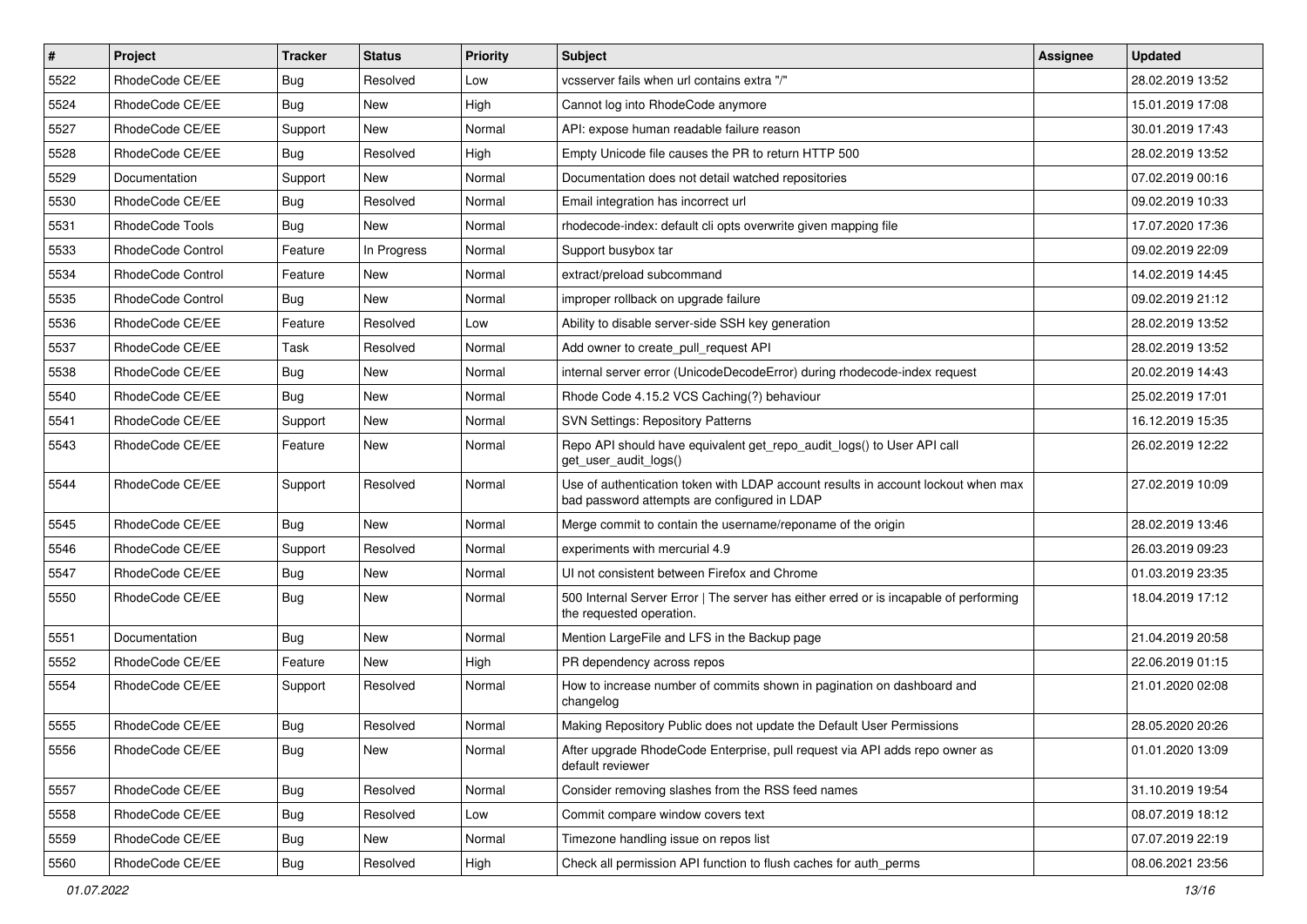| $\sharp$ | Project           | <b>Tracker</b> | <b>Status</b> | <b>Priority</b> | Subject                                                                                                                           | <b>Assignee</b> | <b>Updated</b>   |
|----------|-------------------|----------------|---------------|-----------------|-----------------------------------------------------------------------------------------------------------------------------------|-----------------|------------------|
| 5522     | RhodeCode CE/EE   | <b>Bug</b>     | Resolved      | Low             | vcsserver fails when url contains extra "/"                                                                                       |                 | 28.02.2019 13:52 |
| 5524     | RhodeCode CE/EE   | Bug            | <b>New</b>    | High            | Cannot log into RhodeCode anymore                                                                                                 |                 | 15.01.2019 17:08 |
| 5527     | RhodeCode CE/EE   | Support        | New           | Normal          | API: expose human readable failure reason                                                                                         |                 | 30.01.2019 17:43 |
| 5528     | RhodeCode CE/EE   | <b>Bug</b>     | Resolved      | High            | Empty Unicode file causes the PR to return HTTP 500                                                                               |                 | 28.02.2019 13:52 |
| 5529     | Documentation     | Support        | New           | Normal          | Documentation does not detail watched repositories                                                                                |                 | 07.02.2019 00:16 |
| 5530     | RhodeCode CE/EE   | <b>Bug</b>     | Resolved      | Normal          | Email integration has incorrect url                                                                                               |                 | 09.02.2019 10:33 |
| 5531     | RhodeCode Tools   | Bug            | New           | Normal          | rhodecode-index: default cli opts overwrite given mapping file                                                                    |                 | 17.07.2020 17:36 |
| 5533     | RhodeCode Control | Feature        | In Progress   | Normal          | Support busybox tar                                                                                                               |                 | 09.02.2019 22:09 |
| 5534     | RhodeCode Control | Feature        | <b>New</b>    | Normal          | extract/preload subcommand                                                                                                        |                 | 14.02.2019 14:45 |
| 5535     | RhodeCode Control | <b>Bug</b>     | <b>New</b>    | Normal          | improper rollback on upgrade failure                                                                                              |                 | 09.02.2019 21:12 |
| 5536     | RhodeCode CE/EE   | Feature        | Resolved      | Low             | Ability to disable server-side SSH key generation                                                                                 |                 | 28.02.2019 13:52 |
| 5537     | RhodeCode CE/EE   | Task           | Resolved      | Normal          | Add owner to create_pull_request API                                                                                              |                 | 28.02.2019 13:52 |
| 5538     | RhodeCode CE/EE   | Bug            | New           | Normal          | internal server error (UnicodeDecodeError) during rhodecode-index request                                                         |                 | 20.02.2019 14:43 |
| 5540     | RhodeCode CE/EE   | Bug            | <b>New</b>    | Normal          | Rhode Code 4.15.2 VCS Caching(?) behaviour                                                                                        |                 | 25.02.2019 17:01 |
| 5541     | RhodeCode CE/EE   | Support        | <b>New</b>    | Normal          | <b>SVN Settings: Repository Patterns</b>                                                                                          |                 | 16.12.2019 15:35 |
| 5543     | RhodeCode CE/EE   | Feature        | <b>New</b>    | Normal          | Repo API should have equivalent get_repo_audit_logs() to User API call<br>get_user_audit_logs()                                   |                 | 26.02.2019 12:22 |
| 5544     | RhodeCode CE/EE   | Support        | Resolved      | Normal          | Use of authentication token with LDAP account results in account lockout when max<br>bad password attempts are configured in LDAP |                 | 27.02.2019 10:09 |
| 5545     | RhodeCode CE/EE   | Bug            | <b>New</b>    | Normal          | Merge commit to contain the username/reponame of the origin                                                                       |                 | 28.02.2019 13:46 |
| 5546     | RhodeCode CE/EE   | Support        | Resolved      | Normal          | experiments with mercurial 4.9                                                                                                    |                 | 26.03.2019 09:23 |
| 5547     | RhodeCode CE/EE   | Bug            | New           | Normal          | UI not consistent between Firefox and Chrome                                                                                      |                 | 01.03.2019 23:35 |
| 5550     | RhodeCode CE/EE   | Bug            | New           | Normal          | 500 Internal Server Error   The server has either erred or is incapable of performing<br>the requested operation.                 |                 | 18.04.2019 17:12 |
| 5551     | Documentation     | Bug            | New           | Normal          | Mention LargeFile and LFS in the Backup page                                                                                      |                 | 21.04.2019 20:58 |
| 5552     | RhodeCode CE/EE   | Feature        | <b>New</b>    | High            | PR dependency across repos                                                                                                        |                 | 22.06.2019 01:15 |
| 5554     | RhodeCode CE/EE   | Support        | Resolved      | Normal          | How to increase number of commits shown in pagination on dashboard and<br>changelog                                               |                 | 21.01.2020 02:08 |
| 5555     | RhodeCode CE/EE   | Bug            | Resolved      | Normal          | Making Repository Public does not update the Default User Permissions                                                             |                 | 28.05.2020 20:26 |
| 5556     | RhodeCode CE/EE   | Bug            | New           | Normal          | After upgrade RhodeCode Enterprise, pull request via API adds repo owner as<br>default reviewer                                   |                 | 01.01.2020 13:09 |
| 5557     | RhodeCode CE/EE   | <b>Bug</b>     | Resolved      | Normal          | Consider removing slashes from the RSS feed names                                                                                 |                 | 31.10.2019 19:54 |
| 5558     | RhodeCode CE/EE   | Bug            | Resolved      | Low             | Commit compare window covers text                                                                                                 |                 | 08.07.2019 18:12 |
| 5559     | RhodeCode CE/EE   | <b>Bug</b>     | New           | Normal          | Timezone handling issue on repos list                                                                                             |                 | 07.07.2019 22:19 |
| 5560     | RhodeCode CE/EE   | <b>Bug</b>     | Resolved      | High            | Check all permission API function to flush caches for auth_perms                                                                  |                 | 08.06.2021 23:56 |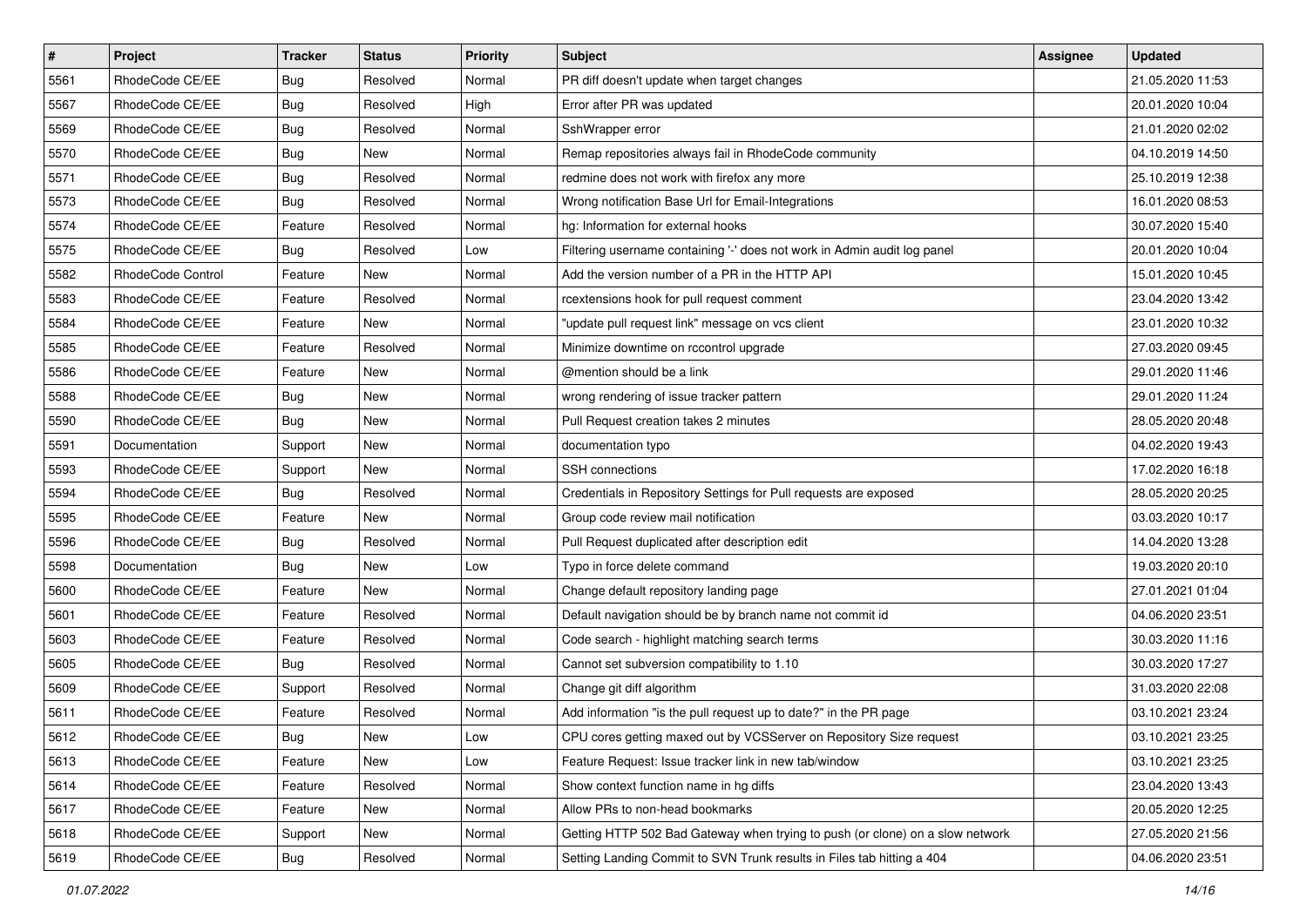| $\#$ | Project           | Tracker    | <b>Status</b> | <b>Priority</b> | <b>Subject</b>                                                                | <b>Assignee</b> | <b>Updated</b>   |
|------|-------------------|------------|---------------|-----------------|-------------------------------------------------------------------------------|-----------------|------------------|
| 5561 | RhodeCode CE/EE   | <b>Bug</b> | Resolved      | Normal          | PR diff doesn't update when target changes                                    |                 | 21.05.2020 11:53 |
| 5567 | RhodeCode CE/EE   | Bug        | Resolved      | High            | Error after PR was updated                                                    |                 | 20.01.2020 10:04 |
| 5569 | RhodeCode CE/EE   | Bug        | Resolved      | Normal          | SshWrapper error                                                              |                 | 21.01.2020 02:02 |
| 5570 | RhodeCode CE/EE   | <b>Bug</b> | New           | Normal          | Remap repositories always fail in RhodeCode community                         |                 | 04.10.2019 14:50 |
| 5571 | RhodeCode CE/EE   | <b>Bug</b> | Resolved      | Normal          | redmine does not work with firefox any more                                   |                 | 25.10.2019 12:38 |
| 5573 | RhodeCode CE/EE   | Bug        | Resolved      | Normal          | Wrong notification Base Url for Email-Integrations                            |                 | 16.01.2020 08:53 |
| 5574 | RhodeCode CE/EE   | Feature    | Resolved      | Normal          | hg: Information for external hooks                                            |                 | 30.07.2020 15:40 |
| 5575 | RhodeCode CE/EE   | <b>Bug</b> | Resolved      | Low             | Filtering username containing '-' does not work in Admin audit log panel      |                 | 20.01.2020 10:04 |
| 5582 | RhodeCode Control | Feature    | New           | Normal          | Add the version number of a PR in the HTTP API                                |                 | 15.01.2020 10:45 |
| 5583 | RhodeCode CE/EE   | Feature    | Resolved      | Normal          | rcextensions hook for pull request comment                                    |                 | 23.04.2020 13:42 |
| 5584 | RhodeCode CE/EE   | Feature    | New           | Normal          | "update pull request link" message on vcs client                              |                 | 23.01.2020 10:32 |
| 5585 | RhodeCode CE/EE   | Feature    | Resolved      | Normal          | Minimize downtime on rccontrol upgrade                                        |                 | 27.03.2020 09:45 |
| 5586 | RhodeCode CE/EE   | Feature    | New           | Normal          | @mention should be a link                                                     |                 | 29.01.2020 11:46 |
| 5588 | RhodeCode CE/EE   | <b>Bug</b> | New           | Normal          | wrong rendering of issue tracker pattern                                      |                 | 29.01.2020 11:24 |
| 5590 | RhodeCode CE/EE   | Bug        | New           | Normal          | Pull Request creation takes 2 minutes                                         |                 | 28.05.2020 20:48 |
| 5591 | Documentation     | Support    | New           | Normal          | documentation typo                                                            |                 | 04.02.2020 19:43 |
| 5593 | RhodeCode CE/EE   | Support    | New           | Normal          | SSH connections                                                               |                 | 17.02.2020 16:18 |
| 5594 | RhodeCode CE/EE   | <b>Bug</b> | Resolved      | Normal          | Credentials in Repository Settings for Pull requests are exposed              |                 | 28.05.2020 20:25 |
| 5595 | RhodeCode CE/EE   | Feature    | New           | Normal          | Group code review mail notification                                           |                 | 03.03.2020 10:17 |
| 5596 | RhodeCode CE/EE   | Bug        | Resolved      | Normal          | Pull Request duplicated after description edit                                |                 | 14.04.2020 13:28 |
| 5598 | Documentation     | <b>Bug</b> | New           | Low             | Typo in force delete command                                                  |                 | 19.03.2020 20:10 |
| 5600 | RhodeCode CE/EE   | Feature    | New           | Normal          | Change default repository landing page                                        |                 | 27.01.2021 01:04 |
| 5601 | RhodeCode CE/EE   | Feature    | Resolved      | Normal          | Default navigation should be by branch name not commit id                     |                 | 04.06.2020 23:51 |
| 5603 | RhodeCode CE/EE   | Feature    | Resolved      | Normal          | Code search - highlight matching search terms                                 |                 | 30.03.2020 11:16 |
| 5605 | RhodeCode CE/EE   | Bug        | Resolved      | Normal          | Cannot set subversion compatibility to 1.10                                   |                 | 30.03.2020 17:27 |
| 5609 | RhodeCode CE/EE   | Support    | Resolved      | Normal          | Change git diff algorithm                                                     |                 | 31.03.2020 22:08 |
| 5611 | RhodeCode CE/EE   | Feature    | Resolved      | Normal          | Add information "is the pull request up to date?" in the PR page              |                 | 03.10.2021 23:24 |
| 5612 | RhodeCode CE/EE   | Bug        | New           | Low             | CPU cores getting maxed out by VCSServer on Repository Size request           |                 | 03.10.2021 23:25 |
| 5613 | RhodeCode CE/EE   | Feature    | New           | Low             | Feature Request: Issue tracker link in new tab/window                         |                 | 03.10.2021 23:25 |
| 5614 | RhodeCode CE/EE   | Feature    | Resolved      | Normal          | Show context function name in hg diffs                                        |                 | 23.04.2020 13:43 |
| 5617 | RhodeCode CE/EE   | Feature    | New           | Normal          | Allow PRs to non-head bookmarks                                               |                 | 20.05.2020 12:25 |
| 5618 | RhodeCode CE/EE   | Support    | New           | Normal          | Getting HTTP 502 Bad Gateway when trying to push (or clone) on a slow network |                 | 27.05.2020 21:56 |
| 5619 | RhodeCode CE/EE   | <b>Bug</b> | Resolved      | Normal          | Setting Landing Commit to SVN Trunk results in Files tab hitting a 404        |                 | 04.06.2020 23:51 |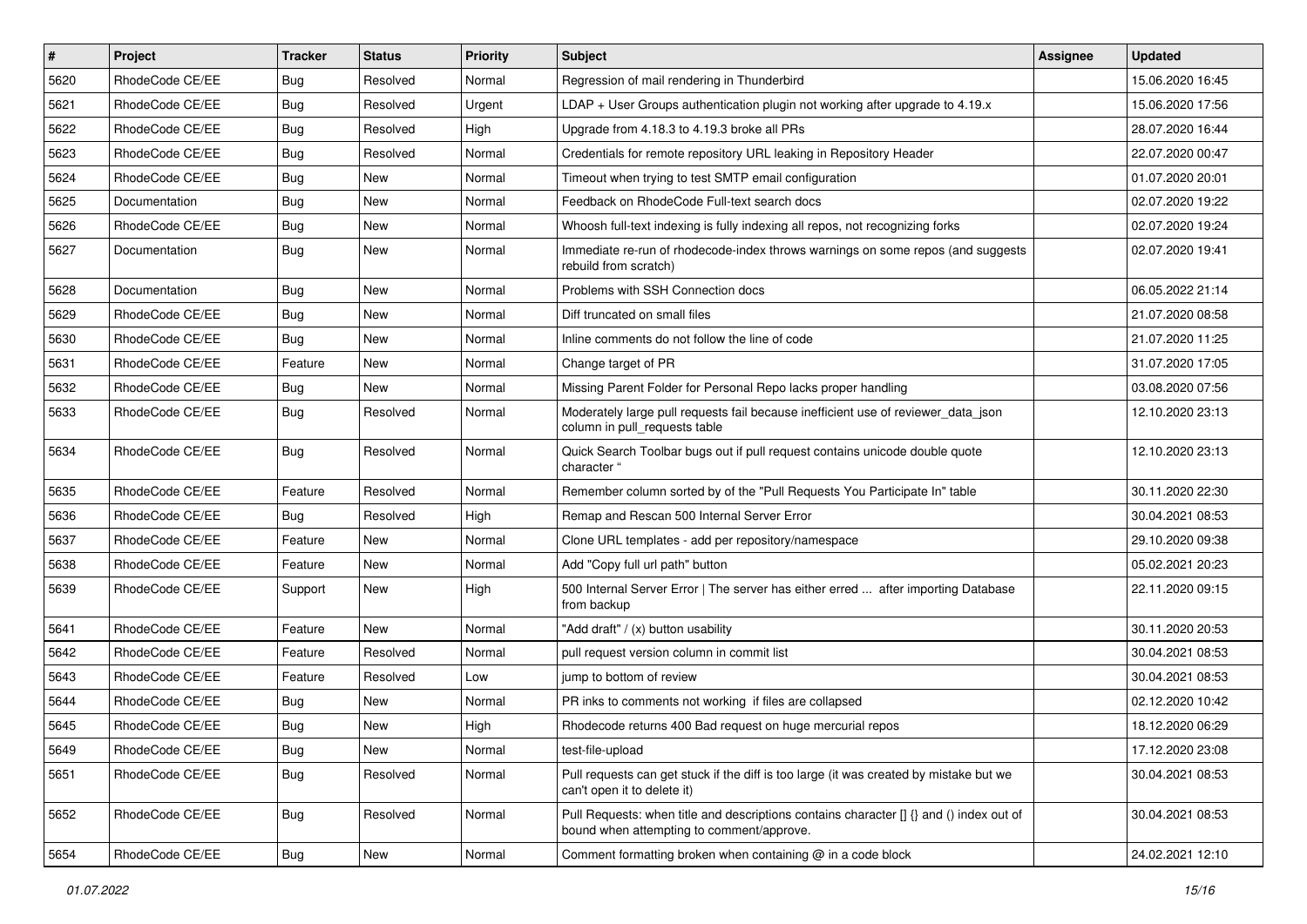| $\vert$ # | Project         | <b>Tracker</b> | <b>Status</b> | <b>Priority</b> | Subject                                                                                                                              | <b>Assignee</b> | <b>Updated</b>   |
|-----------|-----------------|----------------|---------------|-----------------|--------------------------------------------------------------------------------------------------------------------------------------|-----------------|------------------|
| 5620      | RhodeCode CE/EE | Bug            | Resolved      | Normal          | Regression of mail rendering in Thunderbird                                                                                          |                 | 15.06.2020 16:45 |
| 5621      | RhodeCode CE/EE | Bug            | Resolved      | Urgent          | LDAP + User Groups authentication plugin not working after upgrade to $4.19.x$                                                       |                 | 15.06.2020 17:56 |
| 5622      | RhodeCode CE/EE | Bug            | Resolved      | High            | Upgrade from 4.18.3 to 4.19.3 broke all PRs                                                                                          |                 | 28.07.2020 16:44 |
| 5623      | RhodeCode CE/EE | Bug            | Resolved      | Normal          | Credentials for remote repository URL leaking in Repository Header                                                                   |                 | 22.07.2020 00:47 |
| 5624      | RhodeCode CE/EE | <b>Bug</b>     | <b>New</b>    | Normal          | Timeout when trying to test SMTP email configuration                                                                                 |                 | 01.07.2020 20:01 |
| 5625      | Documentation   | Bug            | New           | Normal          | Feedback on RhodeCode Full-text search docs                                                                                          |                 | 02.07.2020 19:22 |
| 5626      | RhodeCode CE/EE | Bug            | <b>New</b>    | Normal          | Whoosh full-text indexing is fully indexing all repos, not recognizing forks                                                         |                 | 02.07.2020 19:24 |
| 5627      | Documentation   | Bug            | New           | Normal          | Immediate re-run of rhodecode-index throws warnings on some repos (and suggests<br>rebuild from scratch)                             |                 | 02.07.2020 19:41 |
| 5628      | Documentation   | Bug            | <b>New</b>    | Normal          | Problems with SSH Connection docs                                                                                                    |                 | 06.05.2022 21:14 |
| 5629      | RhodeCode CE/EE | <b>Bug</b>     | New           | Normal          | Diff truncated on small files                                                                                                        |                 | 21.07.2020 08:58 |
| 5630      | RhodeCode CE/EE | <b>Bug</b>     | <b>New</b>    | Normal          | Inline comments do not follow the line of code                                                                                       |                 | 21.07.2020 11:25 |
| 5631      | RhodeCode CE/EE | Feature        | <b>New</b>    | Normal          | Change target of PR                                                                                                                  |                 | 31.07.2020 17:05 |
| 5632      | RhodeCode CE/EE | Bug            | New           | Normal          | Missing Parent Folder for Personal Repo lacks proper handling                                                                        |                 | 03.08.2020 07:56 |
| 5633      | RhodeCode CE/EE | Bug            | Resolved      | Normal          | Moderately large pull requests fail because inefficient use of reviewer_data_json<br>column in pull_requests table                   |                 | 12.10.2020 23:13 |
| 5634      | RhodeCode CE/EE | Bug            | Resolved      | Normal          | Quick Search Toolbar bugs out if pull request contains unicode double quote<br>character "                                           |                 | 12.10.2020 23:13 |
| 5635      | RhodeCode CE/EE | Feature        | Resolved      | Normal          | Remember column sorted by of the "Pull Requests You Participate In" table                                                            |                 | 30.11.2020 22:30 |
| 5636      | RhodeCode CE/EE | Bug            | Resolved      | High            | Remap and Rescan 500 Internal Server Error                                                                                           |                 | 30.04.2021 08:53 |
| 5637      | RhodeCode CE/EE | Feature        | <b>New</b>    | Normal          | Clone URL templates - add per repository/namespace                                                                                   |                 | 29.10.2020 09:38 |
| 5638      | RhodeCode CE/EE | Feature        | New           | Normal          | Add "Copy full url path" button                                                                                                      |                 | 05.02.2021 20:23 |
| 5639      | RhodeCode CE/EE | Support        | <b>New</b>    | High            | 500 Internal Server Error   The server has either erred  after importing Database<br>from backup                                     |                 | 22.11.2020 09:15 |
| 5641      | RhodeCode CE/EE | Feature        | <b>New</b>    | Normal          | "Add draft" / (x) button usability                                                                                                   |                 | 30.11.2020 20:53 |
| 5642      | RhodeCode CE/EE | Feature        | Resolved      | Normal          | pull request version column in commit list                                                                                           |                 | 30.04.2021 08:53 |
| 5643      | RhodeCode CE/EE | Feature        | Resolved      | Low             | jump to bottom of review                                                                                                             |                 | 30.04.2021 08:53 |
| 5644      | RhodeCode CE/EE | Bug            | New           | Normal          | PR inks to comments not working if files are collapsed                                                                               |                 | 02.12.2020 10:42 |
| 5645      | RhodeCode CE/EE | Bug            | <b>New</b>    | High            | Rhodecode returns 400 Bad request on huge mercurial repos                                                                            |                 | 18.12.2020 06:29 |
| 5649      | RhodeCode CE/EE | <b>Bug</b>     | New           | Normal          | test-file-upload                                                                                                                     |                 | 17.12.2020 23:08 |
| 5651      | RhodeCode CE/EE | <b>Bug</b>     | Resolved      | Normal          | Pull requests can get stuck if the diff is too large (it was created by mistake but we<br>can't open it to delete it)                |                 | 30.04.2021 08:53 |
| 5652      | RhodeCode CE/EE | Bug            | Resolved      | Normal          | Pull Requests: when title and descriptions contains character [] {} and () index out of<br>bound when attempting to comment/approve. |                 | 30.04.2021 08:53 |
| 5654      | RhodeCode CE/EE | Bug            | New           | Normal          | Comment formatting broken when containing @ in a code block                                                                          |                 | 24.02.2021 12:10 |